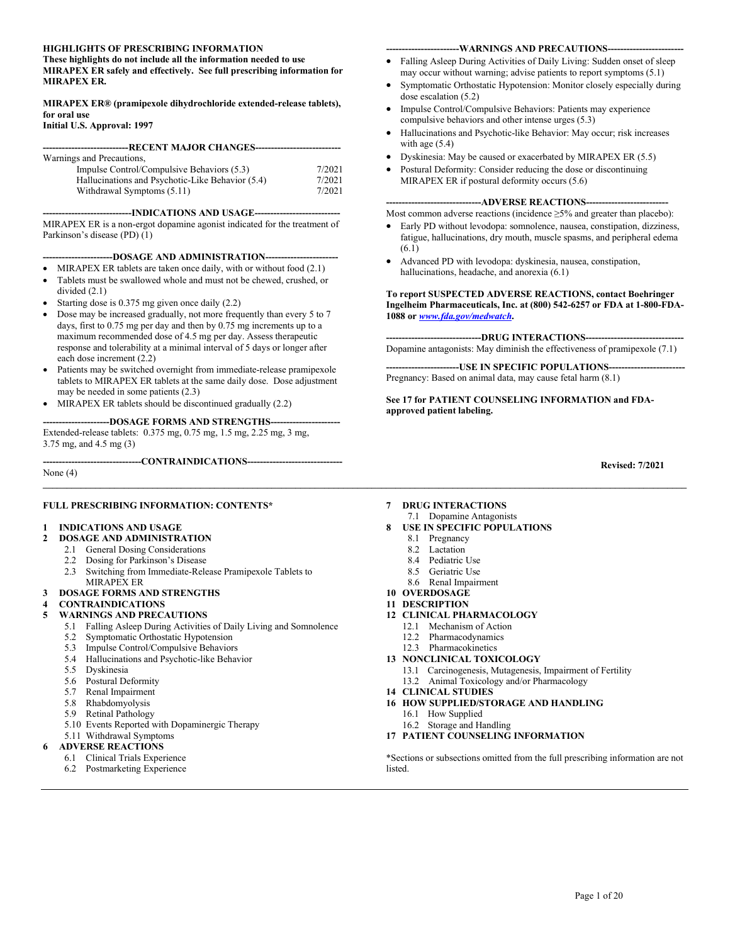#### **HIGHLIGHTS OF PRESCRIBING INFORMATION**

**These highlights do not include all the information needed to use MIRAPEX ER safely and effectively. See full prescribing information for MIRAPEX ER.** 

#### **MIRAPEX ER® (pramipexole dihydrochloride extended-release tablets), for oral use**

#### **Initial U.S. Approval: 1997**

| Warnings and Precautions,                        |        |
|--------------------------------------------------|--------|
| Impulse Control/Compulsive Behaviors (5.3)       | 7/2021 |
| Hallucinations and Psychotic-Like Behavior (5.4) | 7/2021 |
| Withdrawal Symptoms (5.11)                       | 7/2021 |

**----------------------------INDICATIONS AND USAGE---------------------------**

MIRAPEX ER is a non-ergot dopamine agonist indicated for the treatment of Parkinson's disease (PD) (1)

#### **-DOSAGE AND ADMINISTRATION---**

- MIRAPEX ER tablets are taken once daily, with or without food  $(2.1)$ • Tablets must be swallowed whole and must not be chewed, crushed, or
- divided (2.1)
- Starting dose is 0.375 mg given once daily (2.2)
- Dose may be increased gradually, not more frequently than every 5 to 7 days, first to 0.75 mg per day and then by 0.75 mg increments up to a maximum recommended dose of 4.5 mg per day. Assess therapeutic response and tolerability at a minimal interval of 5 days or longer after each dose increment (2.2)
- Patients may be switched overnight from immediate-release pramipexole tablets to MIRAPEX ER tablets at the same daily dose. Dose adjustment may be needed in some patients (2.3)
- MIRAPEX ER tablets should be discontinued gradually (2.2)

#### **---------------------DOSAGE FORMS AND STRENGTHS----------------------**

Extended-release tablets: 0.375 mg, 0.75 mg, 1.5 mg, 2.25 mg, 3 mg, 3.75 mg, and 4.5 mg (3)

**-------------------------------CONTRAINDICATIONS------------------------------**

None (4)

#### **FULL PRESCRIBING INFORMATION: CONTENTS\***

#### **1 INDICATIONS AND USAGE**

- **2 DOSAGE AND ADMINISTRATION**
	- 2.1 General Dosing Considerations
	- 2.2 Dosing for Parkinson's Disease
	- 2.3 Switching from Immediate-Release Pramipexole Tablets to MIRAPEX ER
- **3 DOSAGE FORMS AND STRENGTHS**
- **4 CONTRAINDICATIONS**

#### **5 WARNINGS AND PRECAUTIONS**

- 5.1 Falling Asleep During Activities of Daily Living and Somnolence
- 5.2 Symptomatic Orthostatic Hypotension
- 5.3 Impulse Control/Compulsive Behaviors
- 5.4 Hallucinations and Psychotic-like Behavior
- 5.5 Dyskinesia
- 5.6 Postural Deformity
- 5.7 Renal Impairment
- 5.8 Rhabdomyolysis
- 5.9 Retinal Pathology
- 5.10 Events Reported with Dopaminergic Therapy
- 5.11 Withdrawal Symptoms

#### **6 ADVERSE REACTIONS**

- 6.1 Clinical Trials Experience
- 6.2 Postmarketing Experience

#### **-----------------------WARNINGS AND PRECAUTIONS------------------------**

- Falling Asleep During Activities of Daily Living: Sudden onset of sleep may occur without warning; advise patients to report symptoms (5.1)
- Symptomatic Orthostatic Hypotension: Monitor closely especially during dose escalation (5.2)
- Impulse Control/Compulsive Behaviors: Patients may experience compulsive behaviors and other intense urges (5.3)
- Hallucinations and Psychotic-like Behavior: May occur; risk increases with age (5.4)
- Dyskinesia: May be caused or exacerbated by MIRAPEX ER (5.5)
- Postural Deformity: Consider reducing the dose or discontinuing MIRAPEX ER if postural deformity occurs (5.6)

#### --ADVERSE REACTIONS--

Most common adverse reactions (incidence  $\geq$ 5% and greater than placebo):

- Early PD without levodopa: somnolence, nausea, constipation, dizziness, fatigue, hallucinations, dry mouth, muscle spasms, and peripheral edema (6.1)
- Advanced PD with levodopa: dyskinesia, nausea, constipation, hallucinations, headache, and anorexia (6.1)

#### **To report SUSPECTED ADVERSE REACTIONS, contact Boehringer Ingelheim Pharmaceuticals, Inc. at (800) 542-6257 or FDA at 1-800-FDA-1088 or** *[www.fda.gov/medwatch](http://www.fda.gov/medwatch)***.**

---DRUG INTERACTIONS----

Dopamine antagonists: May diminish the effectiveness of pramipexole (7.1)

--USE IN SPECIFIC POPULATIONS--Pregnancy: Based on animal data, may cause fetal harm (8.1)

**See 17 for PATIENT COUNSELING INFORMATION and FDAapproved patient labeling.**

**Revised: 7/2021**

- **7 DRUG INTERACTIONS**
- 7.1 Dopamine Antagonists **8 USE IN SPECIFIC POPULATIONS**
	- 8.1 Pregnancy

**\_\_\_\_\_\_\_\_\_\_\_\_\_\_\_\_\_\_\_\_\_\_\_\_\_\_\_\_\_\_\_\_\_\_\_\_\_\_\_\_\_\_\_\_\_\_\_\_\_\_\_\_\_\_\_\_\_\_\_\_\_\_\_\_\_\_\_\_\_\_\_\_\_\_\_\_\_\_\_\_\_\_\_\_\_\_\_\_\_\_\_\_\_\_\_\_\_\_\_\_\_\_\_\_\_\_\_\_\_\_\_\_\_\_\_\_\_\_\_\_\_\_\_\_\_\_\_\_\_\_\_\_\_\_\_**

- 8.2 Lactation
- 8.4 Pediatric Use
- 8.5 Geriatric Use
- 8.6 Renal Impairment
- **10 OVERDOSAGE**
- **11 DESCRIPTION**
- **12 CLINICAL PHARMACOLOGY**
	- 12.1 Mechanism of Action
		- 12.2 Pharmacodynamics
	- 12.3 Pharmacokinetics
- **13 NONCLINICAL TOXICOLOGY**
	- 13.1 Carcinogenesis, Mutagenesis, Impairment of Fertility
	- 13.2 Animal Toxicology and/or Pharmacology
- **14 CLINICAL STUDIES**
- **16 HOW SUPPLIED/STORAGE AND HANDLING**
	- 16.1 How Supplied
	- 16.2 Storage and Handling
- **17 PATIENT COUNSELING INFORMATION**

\*Sections or subsections omitted from the full prescribing information are not listed.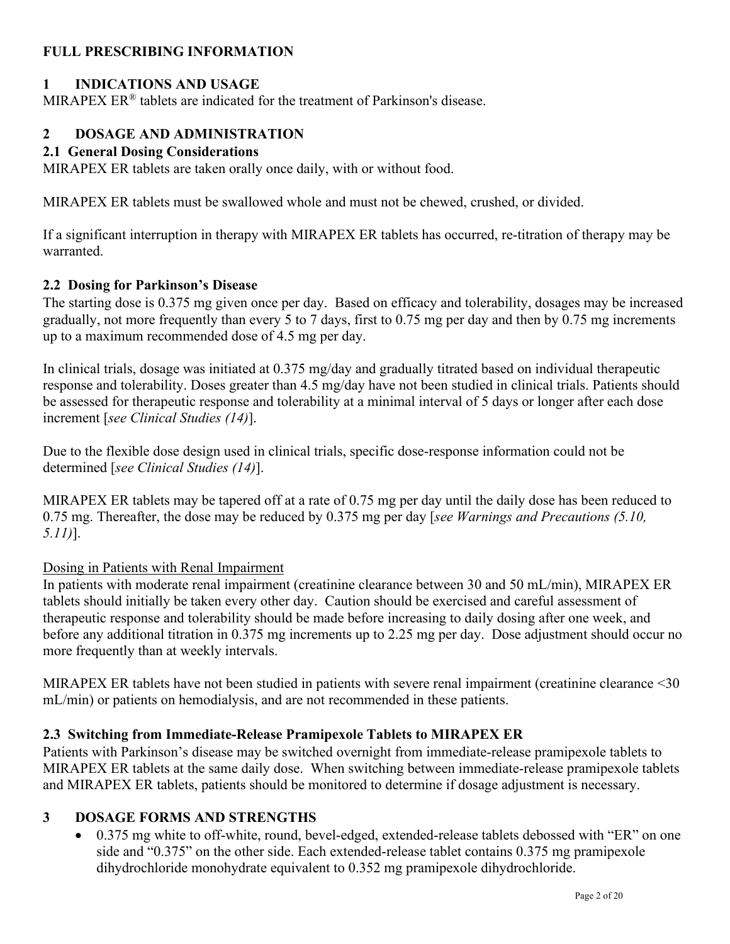# **FULL PRESCRIBING INFORMATION**

# **1 INDICATIONS AND USAGE**

MIRAPEX ER<sup>®</sup> tablets are indicated for the treatment of Parkinson's disease.

# **2 DOSAGE AND ADMINISTRATION**

### **2.1 General Dosing Considerations**

MIRAPEX ER tablets are taken orally once daily, with or without food.

MIRAPEX ER tablets must be swallowed whole and must not be chewed, crushed, or divided.

If a significant interruption in therapy with MIRAPEX ER tablets has occurred, re-titration of therapy may be warranted.

### **2.2 Dosing for Parkinson's Disease**

The starting dose is 0.375 mg given once per day. Based on efficacy and tolerability, dosages may be increased gradually, not more frequently than every 5 to 7 days, first to 0.75 mg per day and then by 0.75 mg increments up to a maximum recommended dose of 4.5 mg per day.

In clinical trials, dosage was initiated at 0.375 mg/day and gradually titrated based on individual therapeutic response and tolerability. Doses greater than 4.5 mg/day have not been studied in clinical trials. Patients should be assessed for therapeutic response and tolerability at a minimal interval of 5 days or longer after each dose increment [*see Clinical Studies (14)*].

Due to the flexible dose design used in clinical trials, specific dose-response information could not be determined [*see Clinical Studies (14)*].

MIRAPEX ER tablets may be tapered off at a rate of 0.75 mg per day until the daily dose has been reduced to 0.75 mg. Thereafter, the dose may be reduced by 0.375 mg per day [*see Warnings and Precautions (5.10, 5.11)*].

### Dosing in Patients with Renal Impairment

In patients with moderate renal impairment (creatinine clearance between 30 and 50 mL/min), MIRAPEX ER tablets should initially be taken every other day. Caution should be exercised and careful assessment of therapeutic response and tolerability should be made before increasing to daily dosing after one week, and before any additional titration in 0.375 mg increments up to 2.25 mg per day. Dose adjustment should occur no more frequently than at weekly intervals.

MIRAPEX ER tablets have not been studied in patients with severe renal impairment (creatinine clearance <30 mL/min) or patients on hemodialysis, and are not recommended in these patients.

### **2.3 Switching from Immediate-Release Pramipexole Tablets to MIRAPEX ER**

Patients with Parkinson's disease may be switched overnight from immediate-release pramipexole tablets to MIRAPEX ER tablets at the same daily dose. When switching between immediate-release pramipexole tablets and MIRAPEX ER tablets, patients should be monitored to determine if dosage adjustment is necessary.

### **3 DOSAGE FORMS AND STRENGTHS**

• 0.375 mg white to off-white, round, bevel-edged, extended-release tablets debossed with "ER" on one side and "0.375" on the other side. Each extended-release tablet contains 0.375 mg pramipexole dihydrochloride monohydrate equivalent to 0.352 mg pramipexole dihydrochloride.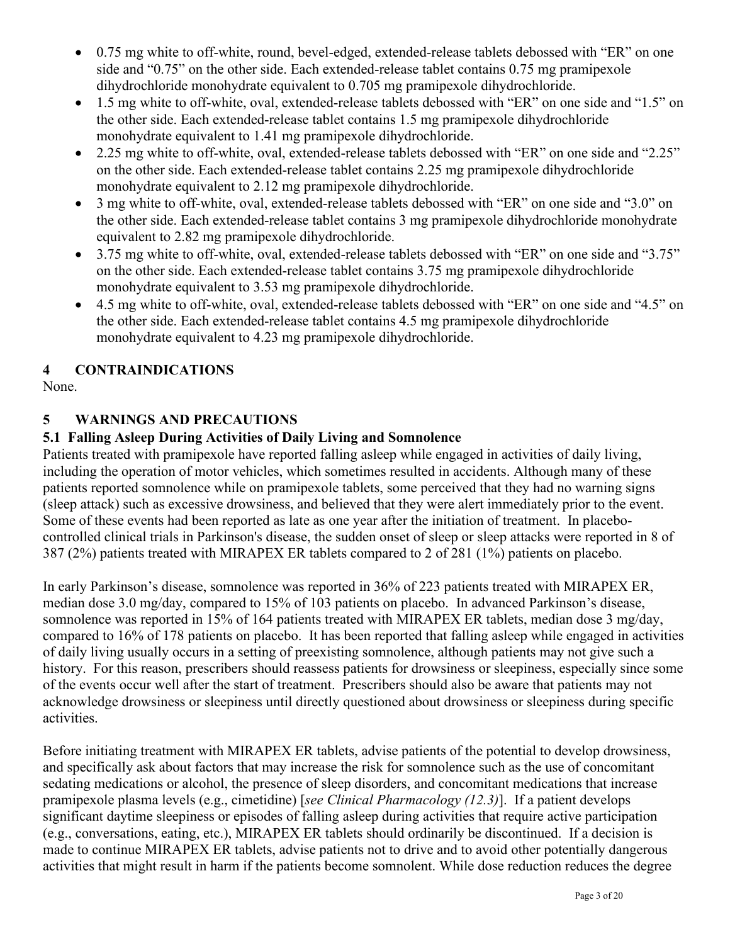- 0.75 mg white to off-white, round, bevel-edged, extended-release tablets debossed with "ER" on one side and "0.75" on the other side. Each extended-release tablet contains 0.75 mg pramipexole dihydrochloride monohydrate equivalent to 0.705 mg pramipexole dihydrochloride.
- 1.5 mg white to off-white, oval, extended-release tablets debossed with "ER" on one side and "1.5" on the other side. Each extended-release tablet contains 1.5 mg pramipexole dihydrochloride monohydrate equivalent to 1.41 mg pramipexole dihydrochloride.
- 2.25 mg white to off-white, oval, extended-release tablets debossed with "ER" on one side and "2.25" on the other side. Each extended-release tablet contains 2.25 mg pramipexole dihydrochloride monohydrate equivalent to 2.12 mg pramipexole dihydrochloride.
- 3 mg white to off-white, oval, extended-release tablets debossed with "ER" on one side and "3.0" on the other side. Each extended-release tablet contains 3 mg pramipexole dihydrochloride monohydrate equivalent to 2.82 mg pramipexole dihydrochloride.
- 3.75 mg white to off-white, oval, extended-release tablets debossed with "ER" on one side and "3.75" on the other side. Each extended-release tablet contains 3.75 mg pramipexole dihydrochloride monohydrate equivalent to 3.53 mg pramipexole dihydrochloride.
- 4.5 mg white to off-white, oval, extended-release tablets debossed with "ER" on one side and "4.5" on the other side. Each extended-release tablet contains 4.5 mg pramipexole dihydrochloride monohydrate equivalent to 4.23 mg pramipexole dihydrochloride.

# **4 CONTRAINDICATIONS**

None.

# **5 WARNINGS AND PRECAUTIONS**

# **5.1 Falling Asleep During Activities of Daily Living and Somnolence**

Patients treated with pramipexole have reported falling asleep while engaged in activities of daily living, including the operation of motor vehicles, which sometimes resulted in accidents. Although many of these patients reported somnolence while on pramipexole tablets, some perceived that they had no warning signs (sleep attack) such as excessive drowsiness, and believed that they were alert immediately prior to the event. Some of these events had been reported as late as one year after the initiation of treatment. In placebocontrolled clinical trials in Parkinson's disease, the sudden onset of sleep or sleep attacks were reported in 8 of 387 (2%) patients treated with MIRAPEX ER tablets compared to 2 of 281 (1%) patients on placebo.

In early Parkinson's disease, somnolence was reported in 36% of 223 patients treated with MIRAPEX ER, median dose 3.0 mg/day, compared to 15% of 103 patients on placebo. In advanced Parkinson's disease, somnolence was reported in 15% of 164 patients treated with MIRAPEX ER tablets, median dose 3 mg/day, compared to 16% of 178 patients on placebo. It has been reported that falling asleep while engaged in activities of daily living usually occurs in a setting of preexisting somnolence, although patients may not give such a history. For this reason, prescribers should reassess patients for drowsiness or sleepiness, especially since some of the events occur well after the start of treatment. Prescribers should also be aware that patients may not acknowledge drowsiness or sleepiness until directly questioned about drowsiness or sleepiness during specific activities.

Before initiating treatment with MIRAPEX ER tablets, advise patients of the potential to develop drowsiness, and specifically ask about factors that may increase the risk for somnolence such as the use of concomitant sedating medications or alcohol, the presence of sleep disorders, and concomitant medications that increase pramipexole plasma levels (e.g., cimetidine) [*see Clinical Pharmacology (12.3)*]. If a patient develops significant daytime sleepiness or episodes of falling asleep during activities that require active participation (e.g., conversations, eating, etc.), MIRAPEX ER tablets should ordinarily be discontinued. If a decision is made to continue MIRAPEX ER tablets, advise patients not to drive and to avoid other potentially dangerous activities that might result in harm if the patients become somnolent. While dose reduction reduces the degree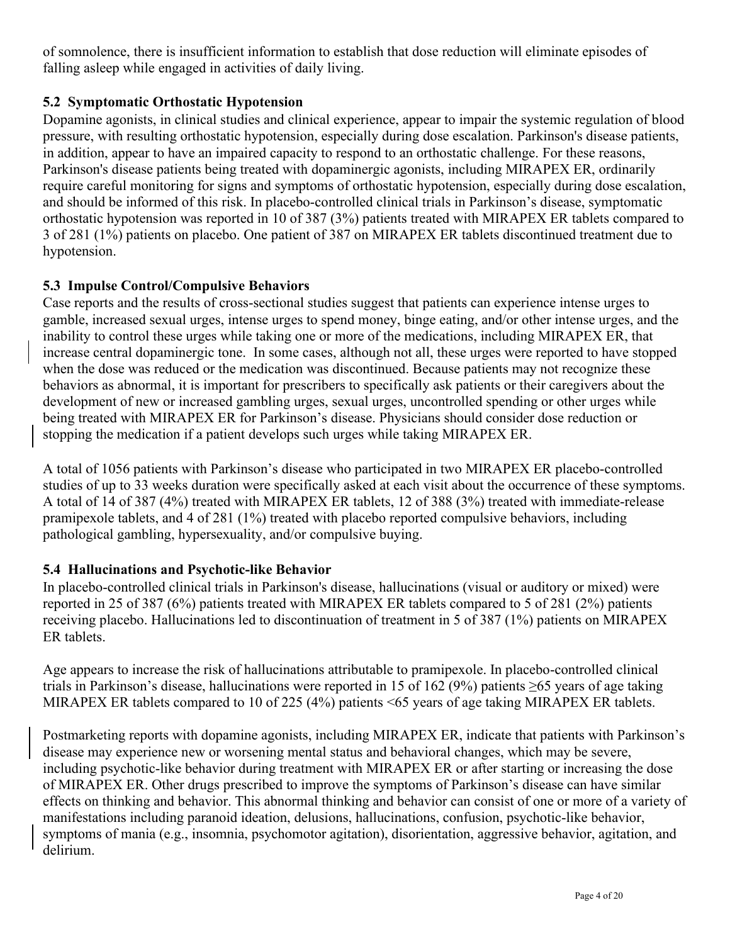of somnolence, there is insufficient information to establish that dose reduction will eliminate episodes of falling asleep while engaged in activities of daily living.

# **5.2 Symptomatic Orthostatic Hypotension**

Dopamine agonists, in clinical studies and clinical experience, appear to impair the systemic regulation of blood pressure, with resulting orthostatic hypotension, especially during dose escalation. Parkinson's disease patients, in addition, appear to have an impaired capacity to respond to an orthostatic challenge. For these reasons, Parkinson's disease patients being treated with dopaminergic agonists, including MIRAPEX ER, ordinarily require careful monitoring for signs and symptoms of orthostatic hypotension, especially during dose escalation, and should be informed of this risk. In placebo-controlled clinical trials in Parkinson's disease, symptomatic orthostatic hypotension was reported in 10 of 387 (3%) patients treated with MIRAPEX ER tablets compared to 3 of 281 (1%) patients on placebo. One patient of 387 on MIRAPEX ER tablets discontinued treatment due to hypotension.

# **5.3 Impulse Control/Compulsive Behaviors**

Case reports and the results of cross-sectional studies suggest that patients can experience intense urges to gamble, increased sexual urges, intense urges to spend money, binge eating, and/or other intense urges, and the inability to control these urges while taking one or more of the medications, including MIRAPEX ER, that increase central dopaminergic tone. In some cases, although not all, these urges were reported to have stopped when the dose was reduced or the medication was discontinued. Because patients may not recognize these behaviors as abnormal, it is important for prescribers to specifically ask patients or their caregivers about the development of new or increased gambling urges, sexual urges, uncontrolled spending or other urges while being treated with MIRAPEX ER for Parkinson's disease. Physicians should consider dose reduction or stopping the medication if a patient develops such urges while taking MIRAPEX ER.

A total of 1056 patients with Parkinson's disease who participated in two MIRAPEX ER placebo-controlled studies of up to 33 weeks duration were specifically asked at each visit about the occurrence of these symptoms. A total of 14 of 387 (4%) treated with MIRAPEX ER tablets, 12 of 388 (3%) treated with immediate-release pramipexole tablets, and 4 of 281 (1%) treated with placebo reported compulsive behaviors, including pathological gambling, hypersexuality, and/or compulsive buying.

# **5.4 Hallucinations and Psychotic-like Behavior**

In placebo-controlled clinical trials in Parkinson's disease, hallucinations (visual or auditory or mixed) were reported in 25 of 387 (6%) patients treated with MIRAPEX ER tablets compared to 5 of 281 (2%) patients receiving placebo. Hallucinations led to discontinuation of treatment in 5 of 387 (1%) patients on MIRAPEX ER tablets.

Age appears to increase the risk of hallucinations attributable to pramipexole. In placebo-controlled clinical trials in Parkinson's disease, hallucinations were reported in 15 of 162 (9%) patients ≥65 years of age taking MIRAPEX ER tablets compared to 10 of 225 (4%) patients <65 years of age taking MIRAPEX ER tablets.

Postmarketing reports with dopamine agonists, including MIRAPEX ER, indicate that patients with Parkinson's disease may experience new or worsening mental status and behavioral changes, which may be severe, including psychotic-like behavior during treatment with MIRAPEX ER or after starting or increasing the dose of MIRAPEX ER. Other drugs prescribed to improve the symptoms of Parkinson's disease can have similar effects on thinking and behavior. This abnormal thinking and behavior can consist of one or more of a variety of manifestations including paranoid ideation, delusions, hallucinations, confusion, psychotic-like behavior, symptoms of mania (e.g., insomnia, psychomotor agitation), disorientation, aggressive behavior, agitation, and delirium.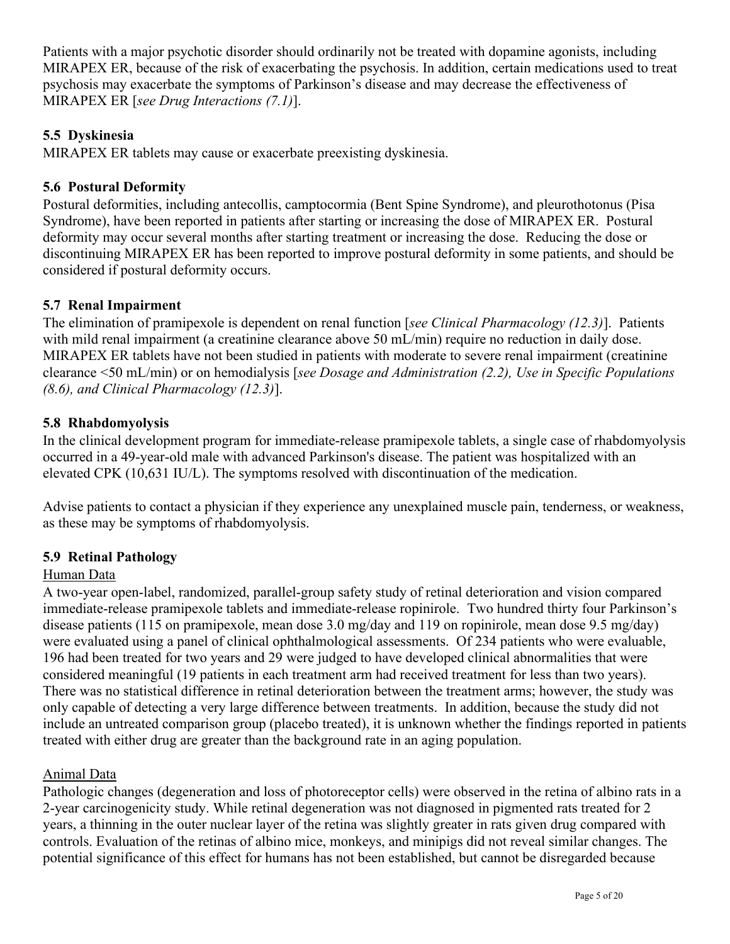Patients with a major psychotic disorder should ordinarily not be treated with dopamine agonists, including MIRAPEX ER, because of the risk of exacerbating the psychosis. In addition, certain medications used to treat psychosis may exacerbate the symptoms of Parkinson's disease and may decrease the effectiveness of MIRAPEX ER [*see Drug Interactions (7.1)*].

# **5.5 Dyskinesia**

MIRAPEX ER tablets may cause or exacerbate preexisting dyskinesia.

# **5.6 Postural Deformity**

Postural deformities, including antecollis, camptocormia (Bent Spine Syndrome), and pleurothotonus (Pisa Syndrome), have been reported in patients after starting or increasing the dose of MIRAPEX ER. Postural deformity may occur several months after starting treatment or increasing the dose. Reducing the dose or discontinuing MIRAPEX ER has been reported to improve postural deformity in some patients, and should be considered if postural deformity occurs.

# **5.7 Renal Impairment**

The elimination of pramipexole is dependent on renal function [*see Clinical Pharmacology (12.3)*]. Patients with mild renal impairment (a creatinine clearance above 50 mL/min) require no reduction in daily dose. MIRAPEX ER tablets have not been studied in patients with moderate to severe renal impairment (creatinine clearance <50 mL/min) or on hemodialysis [*see Dosage and Administration (2.2), Use in Specific Populations (8.6), and Clinical Pharmacology (12.3)*].

# **5.8 Rhabdomyolysis**

In the clinical development program for immediate-release pramipexole tablets, a single case of rhabdomyolysis occurred in a 49-year-old male with advanced Parkinson's disease. The patient was hospitalized with an elevated CPK (10,631 IU/L). The symptoms resolved with discontinuation of the medication.

Advise patients to contact a physician if they experience any unexplained muscle pain, tenderness, or weakness, as these may be symptoms of rhabdomyolysis.

# **5.9 Retinal Pathology**

### Human Data

A two-year open-label, randomized, parallel-group safety study of retinal deterioration and vision compared immediate-release pramipexole tablets and immediate-release ropinirole. Two hundred thirty four Parkinson's disease patients (115 on pramipexole, mean dose 3.0 mg/day and 119 on ropinirole, mean dose 9.5 mg/day) were evaluated using a panel of clinical ophthalmological assessments. Of 234 patients who were evaluable, 196 had been treated for two years and 29 were judged to have developed clinical abnormalities that were considered meaningful (19 patients in each treatment arm had received treatment for less than two years). There was no statistical difference in retinal deterioration between the treatment arms; however, the study was only capable of detecting a very large difference between treatments. In addition, because the study did not include an untreated comparison group (placebo treated), it is unknown whether the findings reported in patients treated with either drug are greater than the background rate in an aging population.

### Animal Data

Pathologic changes (degeneration and loss of photoreceptor cells) were observed in the retina of albino rats in a 2-year carcinogenicity study. While retinal degeneration was not diagnosed in pigmented rats treated for 2 years, a thinning in the outer nuclear layer of the retina was slightly greater in rats given drug compared with controls. Evaluation of the retinas of albino mice, monkeys, and minipigs did not reveal similar changes. The potential significance of this effect for humans has not been established, but cannot be disregarded because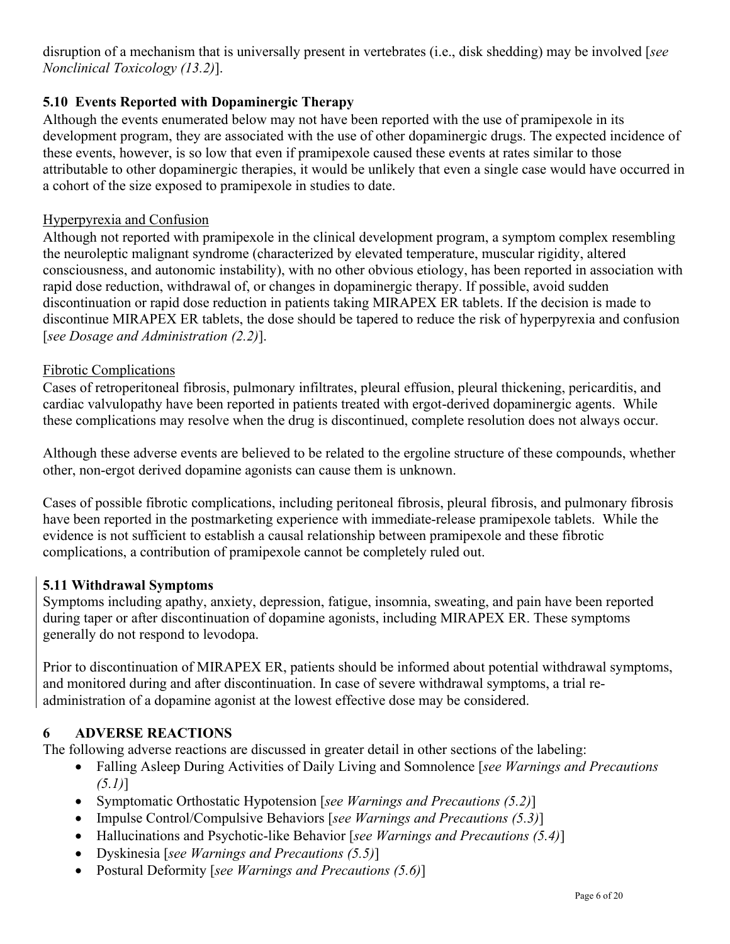disruption of a mechanism that is universally present in vertebrates (i.e., disk shedding) may be involved [*see Nonclinical Toxicology (13.2)*].

# **5.10 Events Reported with Dopaminergic Therapy**

Although the events enumerated below may not have been reported with the use of pramipexole in its development program, they are associated with the use of other dopaminergic drugs. The expected incidence of these events, however, is so low that even if pramipexole caused these events at rates similar to those attributable to other dopaminergic therapies, it would be unlikely that even a single case would have occurred in a cohort of the size exposed to pramipexole in studies to date.

## Hyperpyrexia and Confusion

Although not reported with pramipexole in the clinical development program, a symptom complex resembling the neuroleptic malignant syndrome (characterized by elevated temperature, muscular rigidity, altered consciousness, and autonomic instability), with no other obvious etiology, has been reported in association with rapid dose reduction, withdrawal of, or changes in dopaminergic therapy. If possible, avoid sudden discontinuation or rapid dose reduction in patients taking MIRAPEX ER tablets. If the decision is made to discontinue MIRAPEX ER tablets, the dose should be tapered to reduce the risk of hyperpyrexia and confusion [*see Dosage and Administration (2.2)*].

## Fibrotic Complications

Cases of retroperitoneal fibrosis, pulmonary infiltrates, pleural effusion, pleural thickening, pericarditis, and cardiac valvulopathy have been reported in patients treated with ergot-derived dopaminergic agents. While these complications may resolve when the drug is discontinued, complete resolution does not always occur.

Although these adverse events are believed to be related to the ergoline structure of these compounds, whether other, non-ergot derived dopamine agonists can cause them is unknown.

Cases of possible fibrotic complications, including peritoneal fibrosis, pleural fibrosis, and pulmonary fibrosis have been reported in the postmarketing experience with immediate-release pramipexole tablets. While the evidence is not sufficient to establish a causal relationship between pramipexole and these fibrotic complications, a contribution of pramipexole cannot be completely ruled out.

# **5.11 Withdrawal Symptoms**

Symptoms including apathy, anxiety, depression, fatigue, insomnia, sweating, and pain have been reported during taper or after discontinuation of dopamine agonists, including MIRAPEX ER. These symptoms generally do not respond to levodopa.

Prior to discontinuation of MIRAPEX ER, patients should be informed about potential withdrawal symptoms, and monitored during and after discontinuation. In case of severe withdrawal symptoms, a trial readministration of a dopamine agonist at the lowest effective dose may be considered.

# **6 ADVERSE REACTIONS**

The following adverse reactions are discussed in greater detail in other sections of the labeling:

- Falling Asleep During Activities of Daily Living and Somnolence [*see Warnings and Precautions (5.1)*]
- Symptomatic Orthostatic Hypotension [*see Warnings and Precautions (5.2)*]
- Impulse Control/Compulsive Behaviors [*see Warnings and Precautions (5.3)*]
- Hallucinations and Psychotic-like Behavior [*see Warnings and Precautions (5.4)*]
- Dyskinesia [*see Warnings and Precautions (5.5)*]
- Postural Deformity [*see Warnings and Precautions (5.6)*]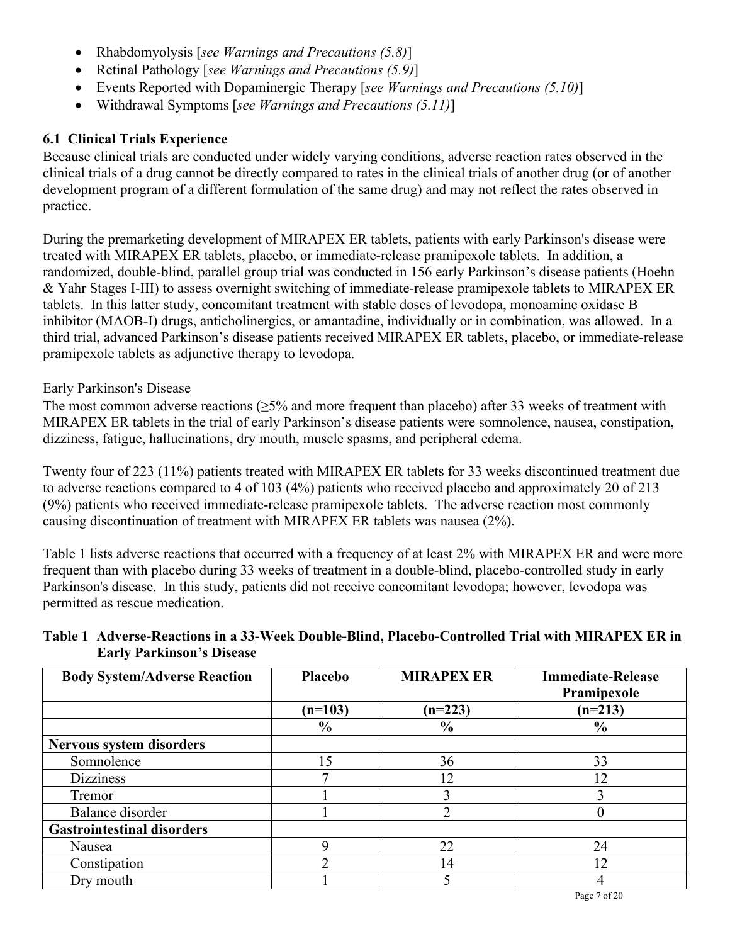- Rhabdomyolysis [*see Warnings and Precautions (5.8)*]
- Retinal Pathology [*see Warnings and Precautions (5.9)*]
- Events Reported with Dopaminergic Therapy [*see Warnings and Precautions (5.10)*]
- Withdrawal Symptoms [*see Warnings and Precautions (5.11)*]

# **6.1 Clinical Trials Experience**

Because clinical trials are conducted under widely varying conditions, adverse reaction rates observed in the clinical trials of a drug cannot be directly compared to rates in the clinical trials of another drug (or of another development program of a different formulation of the same drug) and may not reflect the rates observed in practice.

During the premarketing development of MIRAPEX ER tablets, patients with early Parkinson's disease were treated with MIRAPEX ER tablets, placebo, or immediate-release pramipexole tablets. In addition, a randomized, double-blind, parallel group trial was conducted in 156 early Parkinson's disease patients (Hoehn & Yahr Stages I-III) to assess overnight switching of immediate-release pramipexole tablets to MIRAPEX ER tablets. In this latter study, concomitant treatment with stable doses of levodopa, monoamine oxidase B inhibitor (MAOB-I) drugs, anticholinergics, or amantadine, individually or in combination, was allowed. In a third trial, advanced Parkinson's disease patients received MIRAPEX ER tablets, placebo, or immediate-release pramipexole tablets as adjunctive therapy to levodopa.

# Early Parkinson's Disease

The most common adverse reactions (≥5% and more frequent than placebo) after 33 weeks of treatment with MIRAPEX ER tablets in the trial of early Parkinson's disease patients were somnolence, nausea, constipation, dizziness, fatigue, hallucinations, dry mouth, muscle spasms, and peripheral edema.

Twenty four of 223 (11%) patients treated with MIRAPEX ER tablets for 33 weeks discontinued treatment due to adverse reactions compared to 4 of 103 (4%) patients who received placebo and approximately 20 of 213 (9%) patients who received immediate-release pramipexole tablets. The adverse reaction most commonly causing discontinuation of treatment with MIRAPEX ER tablets was nausea (2%).

Table 1 lists adverse reactions that occurred with a frequency of at least 2% with MIRAPEX ER and were more frequent than with placebo during 33 weeks of treatment in a double-blind, placebo-controlled study in early Parkinson's disease. In this study, patients did not receive concomitant levodopa; however, levodopa was permitted as rescue medication.

| Table 1 Adverse-Reactions in a 33-Week Double-Blind, Placebo-Controlled Trial with MIRAPEX ER in |
|--------------------------------------------------------------------------------------------------|
| <b>Early Parkinson's Disease</b>                                                                 |

| <b>Body System/Adverse Reaction</b> | Placebo       | <b>MIRAPEX ER</b> | <b>Immediate-Release</b><br>Pramipexole |
|-------------------------------------|---------------|-------------------|-----------------------------------------|
|                                     | $(n=103)$     | $(n=223)$         | $(n=213)$                               |
|                                     | $\frac{0}{0}$ | $\frac{6}{6}$     | $\frac{0}{0}$                           |
| Nervous system disorders            |               |                   |                                         |
| Somnolence                          | 15            | 36                | 33                                      |
| <b>Dizziness</b>                    |               | 12                | 12                                      |
| Tremor                              |               |                   |                                         |
| Balance disorder                    |               |                   |                                         |
| <b>Gastrointestinal disorders</b>   |               |                   |                                         |
| Nausea                              |               | 22                | 24                                      |
| Constipation                        |               | 14                | 12                                      |
| Dry mouth                           |               |                   |                                         |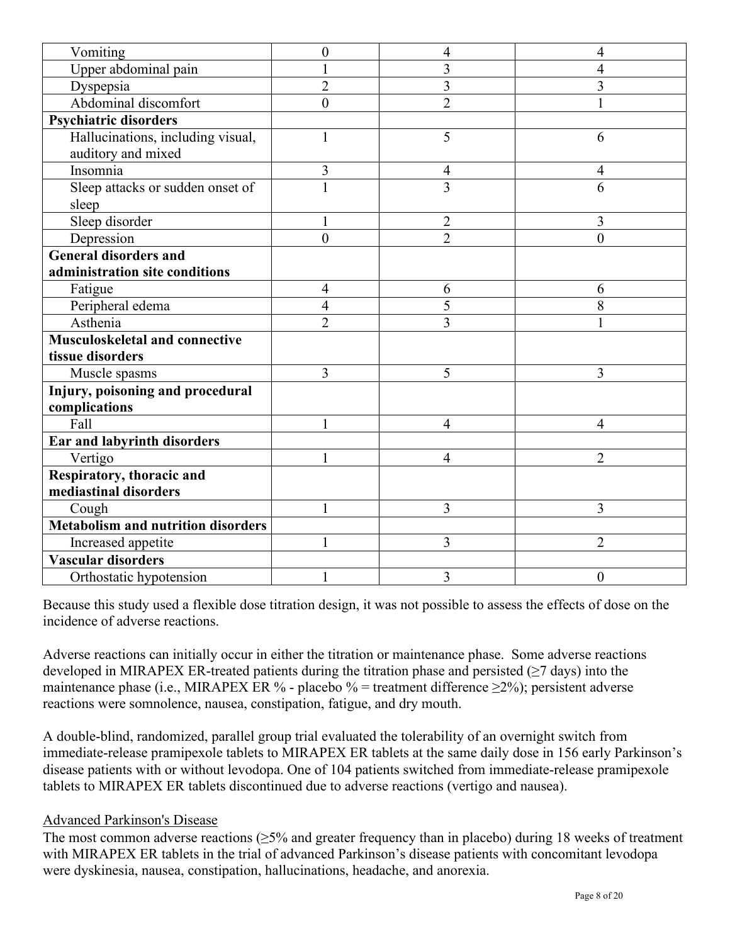| Vomiting                                  | $\boldsymbol{0}$ | 4              | 4                |
|-------------------------------------------|------------------|----------------|------------------|
| Upper abdominal pain                      |                  | 3              | 4                |
| Dyspepsia                                 | $\overline{2}$   | 3              | 3                |
| Abdominal discomfort                      | $\overline{0}$   | $\overline{2}$ | $\mathbf{1}$     |
| <b>Psychiatric disorders</b>              |                  |                |                  |
| Hallucinations, including visual,         |                  | 5              | 6                |
| auditory and mixed                        |                  |                |                  |
| Insomnia                                  | 3                | 4              | 4                |
| Sleep attacks or sudden onset of          |                  | $\overline{3}$ | 6                |
| sleep                                     |                  |                |                  |
| Sleep disorder                            |                  | $\overline{2}$ | 3                |
| Depression                                | $\theta$         | $\overline{2}$ | $\overline{0}$   |
| <b>General disorders and</b>              |                  |                |                  |
| administration site conditions            |                  |                |                  |
| Fatigue                                   | 4                | 6              | 6                |
| Peripheral edema                          | $\overline{4}$   | 5              | 8                |
| Asthenia                                  | $\overline{2}$   | $\overline{3}$ | 1                |
| <b>Musculoskeletal and connective</b>     |                  |                |                  |
| tissue disorders                          |                  |                |                  |
| Muscle spasms                             | 3                | 5              | 3                |
| Injury, poisoning and procedural          |                  |                |                  |
| complications                             |                  |                |                  |
| Fall                                      |                  | 4              | 4                |
| Ear and labyrinth disorders               |                  |                |                  |
| Vertigo                                   |                  | 4              | $\overline{2}$   |
| Respiratory, thoracic and                 |                  |                |                  |
| mediastinal disorders                     |                  |                |                  |
| Cough                                     |                  | 3              | 3                |
| <b>Metabolism and nutrition disorders</b> |                  |                |                  |
| Increased appetite                        |                  | 3              | $\overline{2}$   |
| <b>Vascular disorders</b>                 |                  |                |                  |
| Orthostatic hypotension                   |                  | 3              | $\boldsymbol{0}$ |

Because this study used a flexible dose titration design, it was not possible to assess the effects of dose on the incidence of adverse reactions.

Adverse reactions can initially occur in either the titration or maintenance phase. Some adverse reactions developed in MIRAPEX ER-treated patients during the titration phase and persisted ( $\geq$ 7 days) into the maintenance phase (i.e., MIRAPEX ER % - placebo % = treatment difference  $\geq$ 2%); persistent adverse reactions were somnolence, nausea, constipation, fatigue, and dry mouth.

A double-blind, randomized, parallel group trial evaluated the tolerability of an overnight switch from immediate-release pramipexole tablets to MIRAPEX ER tablets at the same daily dose in 156 early Parkinson's disease patients with or without levodopa. One of 104 patients switched from immediate-release pramipexole tablets to MIRAPEX ER tablets discontinued due to adverse reactions (vertigo and nausea).

### Advanced Parkinson's Disease

The most common adverse reactions (≥5% and greater frequency than in placebo) during 18 weeks of treatment with MIRAPEX ER tablets in the trial of advanced Parkinson's disease patients with concomitant levodopa were dyskinesia, nausea, constipation, hallucinations, headache, and anorexia.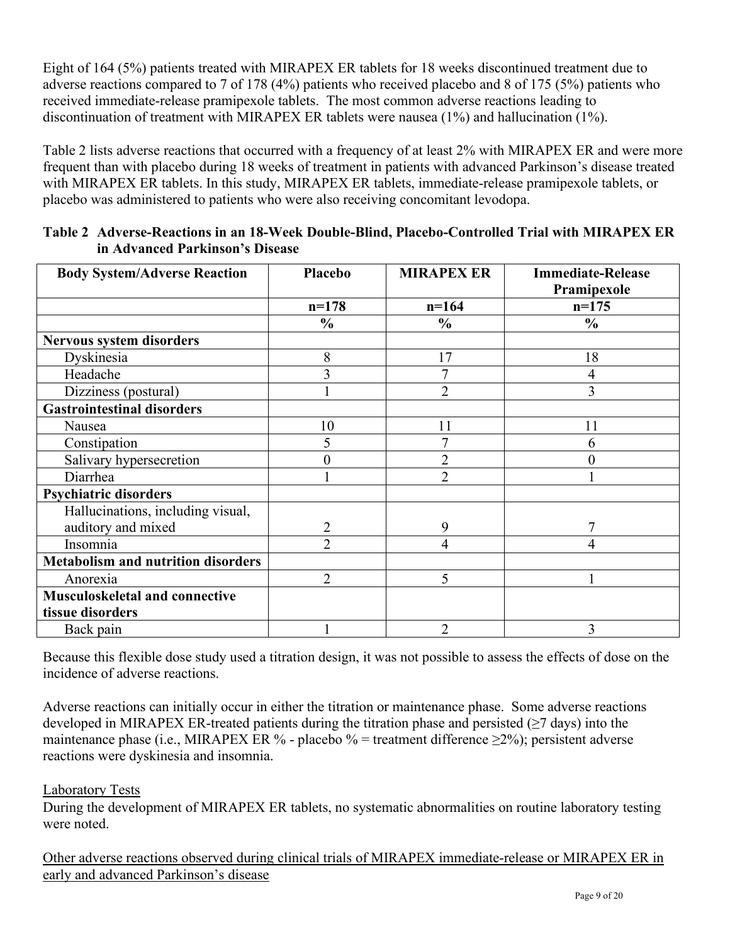Eight of 164 (5%) patients treated with MIRAPEX ER tablets for 18 weeks discontinued treatment due to adverse reactions compared to 7 of 178 (4%) patients who received placebo and 8 of 175 (5%) patients who received immediate-release pramipexole tablets. The most common adverse reactions leading to discontinuation of treatment with MIRAPEX ER tablets were nausea (1%) and hallucination (1%).

Table 2 lists adverse reactions that occurred with a frequency of at least 2% with MIRAPEX ER and were more frequent than with placebo during 18 weeks of treatment in patients with advanced Parkinson's disease treated with MIRAPEX ER tablets. In this study, MIRAPEX ER tablets, immediate-release pramipexole tablets, or placebo was administered to patients who were also receiving concomitant levodopa.

| <b>Body System/Adverse Reaction</b>       | Placebo        | <b>MIRAPEX ER</b> | <b>Immediate-Release</b> |
|-------------------------------------------|----------------|-------------------|--------------------------|
|                                           |                |                   | Pramipexole              |
|                                           | $n=178$        | $n=164$           | $n=175$                  |
|                                           | $\frac{0}{0}$  | $\frac{0}{0}$     | $\frac{0}{0}$            |
| <b>Nervous system disorders</b>           |                |                   |                          |
| Dyskinesia                                | 8              | 17                | 18                       |
| Headache                                  | 3              |                   | $\overline{4}$           |
| Dizziness (postural)                      |                | 2                 | 3                        |
| <b>Gastrointestinal disorders</b>         |                |                   |                          |
| Nausea                                    | 10             | 11                | 11                       |
| Constipation                              | 5              |                   | 6                        |
| Salivary hypersecretion                   | $\overline{0}$ | $\overline{2}$    | $\theta$                 |
| Diarrhea                                  |                | $\overline{2}$    |                          |
| <b>Psychiatric disorders</b>              |                |                   |                          |
| Hallucinations, including visual,         |                |                   |                          |
| auditory and mixed                        | $\overline{2}$ | 9                 | 7                        |
| Insomnia                                  | $\overline{2}$ | 4                 | 4                        |
| <b>Metabolism and nutrition disorders</b> |                |                   |                          |
| Anorexia                                  | $\overline{2}$ | 5                 |                          |
| <b>Musculoskeletal and connective</b>     |                |                   |                          |
| tissue disorders                          |                |                   |                          |
| Back pain                                 |                | $\overline{2}$    | 3                        |

| Table 2 Adverse-Reactions in an 18-Week Double-Blind, Placebo-Controlled Trial with MIRAPEX ER |
|------------------------------------------------------------------------------------------------|
| in Advanced Parkinson's Disease                                                                |

Because this flexible dose study used a titration design, it was not possible to assess the effects of dose on the incidence of adverse reactions.

Adverse reactions can initially occur in either the titration or maintenance phase. Some adverse reactions developed in MIRAPEX ER-treated patients during the titration phase and persisted ( $\geq$ 7 days) into the maintenance phase (i.e., MIRAPEX ER % - placebo % = treatment difference  $\geq$  2%); persistent adverse reactions were dyskinesia and insomnia.

# Laboratory Tests

During the development of MIRAPEX ER tablets, no systematic abnormalities on routine laboratory testing were noted.

Other adverse reactions observed during clinical trials of MIRAPEX immediate-release or MIRAPEX ER in early and advanced Parkinson's disease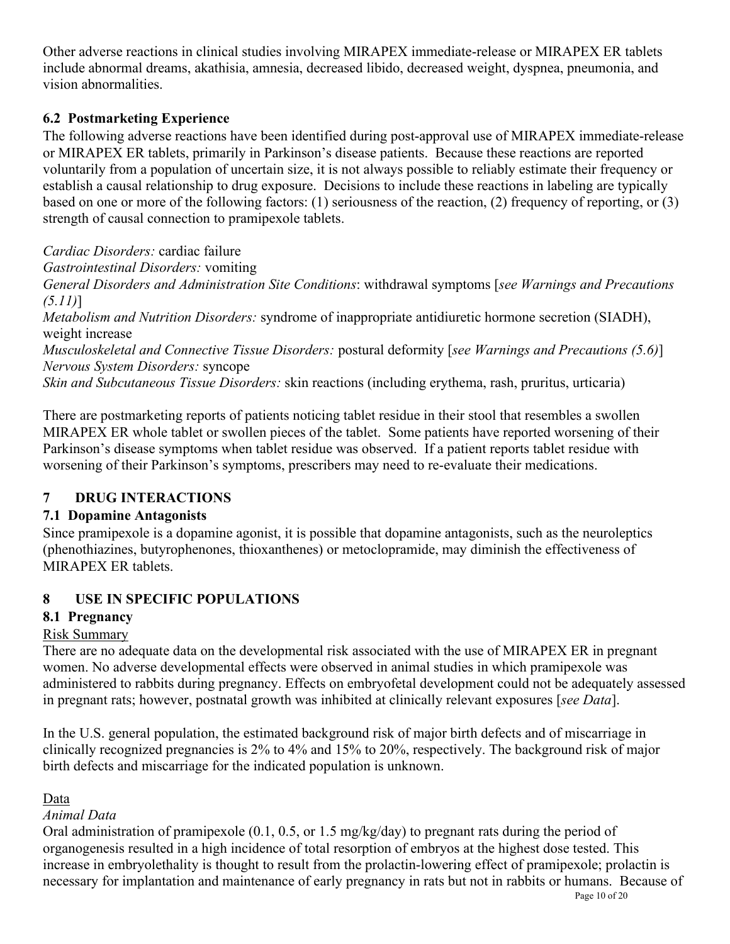Other adverse reactions in clinical studies involving MIRAPEX immediate-release or MIRAPEX ER tablets include abnormal dreams, akathisia, amnesia, decreased libido, decreased weight, dyspnea, pneumonia, and vision abnormalities.

# **6.2 Postmarketing Experience**

The following adverse reactions have been identified during post-approval use of MIRAPEX immediate-release or MIRAPEX ER tablets, primarily in Parkinson's disease patients. Because these reactions are reported voluntarily from a population of uncertain size, it is not always possible to reliably estimate their frequency or establish a causal relationship to drug exposure. Decisions to include these reactions in labeling are typically based on one or more of the following factors: (1) seriousness of the reaction, (2) frequency of reporting, or (3) strength of causal connection to pramipexole tablets.

*Cardiac Disorders:* cardiac failure

*Gastrointestinal Disorders:* vomiting

*General Disorders and Administration Site Conditions*: withdrawal symptoms [*see Warnings and Precautions (5.11)*]

*Metabolism and Nutrition Disorders:* syndrome of inappropriate antidiuretic hormone secretion (SIADH), weight increase

*Musculoskeletal and Connective Tissue Disorders:* postural deformity [*see Warnings and Precautions (5.6)*] *Nervous System Disorders:* syncope

*Skin and Subcutaneous Tissue Disorders:* skin reactions (including erythema, rash, pruritus, urticaria)

There are postmarketing reports of patients noticing tablet residue in their stool that resembles a swollen MIRAPEX ER whole tablet or swollen pieces of the tablet. Some patients have reported worsening of their Parkinson's disease symptoms when tablet residue was observed. If a patient reports tablet residue with worsening of their Parkinson's symptoms, prescribers may need to re-evaluate their medications.

# **7 DRUG INTERACTIONS**

# **7.1 Dopamine Antagonists**

Since pramipexole is a dopamine agonist, it is possible that dopamine antagonists, such as the neuroleptics (phenothiazines, butyrophenones, thioxanthenes) or metoclopramide, may diminish the effectiveness of MIRAPEX ER tablets.

# **8 USE IN SPECIFIC POPULATIONS**

# **8.1 Pregnancy**

# Risk Summary

There are no adequate data on the developmental risk associated with the use of MIRAPEX ER in pregnant women. No adverse developmental effects were observed in animal studies in which pramipexole was administered to rabbits during pregnancy. Effects on embryofetal development could not be adequately assessed in pregnant rats; however, postnatal growth was inhibited at clinically relevant exposures [*see Data*].

In the U.S. general population, the estimated background risk of major birth defects and of miscarriage in clinically recognized pregnancies is 2% to 4% and 15% to 20%, respectively. The background risk of major birth defects and miscarriage for the indicated population is unknown.

# Data

# *Animal Data*

Oral administration of pramipexole (0.1, 0.5, or 1.5 mg/kg/day) to pregnant rats during the period of organogenesis resulted in a high incidence of total resorption of embryos at the highest dose tested. This increase in embryolethality is thought to result from the prolactin-lowering effect of pramipexole; prolactin is necessary for implantation and maintenance of early pregnancy in rats but not in rabbits or humans. Because of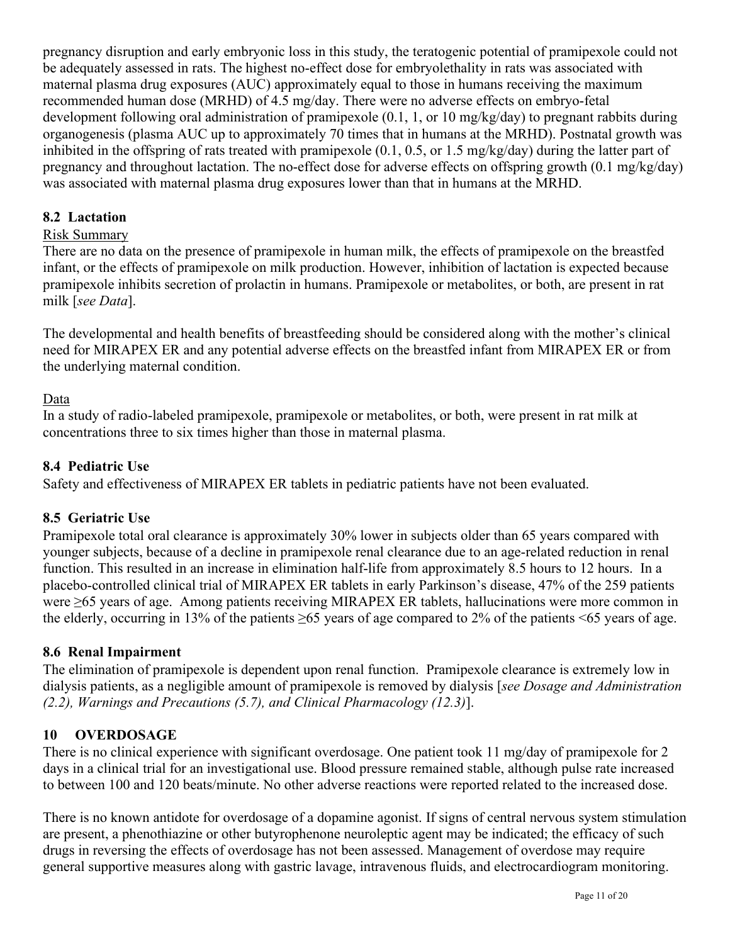pregnancy disruption and early embryonic loss in this study, the teratogenic potential of pramipexole could not be adequately assessed in rats. The highest no-effect dose for embryolethality in rats was associated with maternal plasma drug exposures (AUC) approximately equal to those in humans receiving the maximum recommended human dose (MRHD) of 4.5 mg/day. There were no adverse effects on embryo-fetal development following oral administration of pramipexole (0.1, 1, or 10 mg/kg/day) to pregnant rabbits during organogenesis (plasma AUC up to approximately 70 times that in humans at the MRHD). Postnatal growth was inhibited in the offspring of rats treated with pramipexole (0.1, 0.5, or 1.5 mg/kg/day) during the latter part of pregnancy and throughout lactation. The no-effect dose for adverse effects on offspring growth (0.1 mg/kg/day) was associated with maternal plasma drug exposures lower than that in humans at the MRHD.

# **8.2 Lactation**

# Risk Summary

There are no data on the presence of pramipexole in human milk, the effects of pramipexole on the breastfed infant, or the effects of pramipexole on milk production. However, inhibition of lactation is expected because pramipexole inhibits secretion of prolactin in humans. Pramipexole or metabolites, or both, are present in rat milk [*see Data*].

The developmental and health benefits of breastfeeding should be considered along with the mother's clinical need for MIRAPEX ER and any potential adverse effects on the breastfed infant from MIRAPEX ER or from the underlying maternal condition.

## Data

In a study of radio-labeled pramipexole, pramipexole or metabolites, or both, were present in rat milk at concentrations three to six times higher than those in maternal plasma.

# **8.4 Pediatric Use**

Safety and effectiveness of MIRAPEX ER tablets in pediatric patients have not been evaluated.

# **8.5 Geriatric Use**

Pramipexole total oral clearance is approximately 30% lower in subjects older than 65 years compared with younger subjects, because of a decline in pramipexole renal clearance due to an age-related reduction in renal function. This resulted in an increase in elimination half-life from approximately 8.5 hours to 12 hours. In a placebo-controlled clinical trial of MIRAPEX ER tablets in early Parkinson's disease, 47% of the 259 patients were ≥65 years of age. Among patients receiving MIRAPEX ER tablets, hallucinations were more common in the elderly, occurring in 13% of the patients  $\geq 65$  years of age compared to 2% of the patients <65 years of age.

# **8.6 Renal Impairment**

The elimination of pramipexole is dependent upon renal function. Pramipexole clearance is extremely low in dialysis patients, as a negligible amount of pramipexole is removed by dialysis [*see Dosage and Administration (2.2), Warnings and Precautions (5.7), and Clinical Pharmacology (12.3)*].

# **10 OVERDOSAGE**

There is no clinical experience with significant overdosage. One patient took 11 mg/day of pramipexole for 2 days in a clinical trial for an investigational use. Blood pressure remained stable, although pulse rate increased to between 100 and 120 beats/minute. No other adverse reactions were reported related to the increased dose.

There is no known antidote for overdosage of a dopamine agonist. If signs of central nervous system stimulation are present, a phenothiazine or other butyrophenone neuroleptic agent may be indicated; the efficacy of such drugs in reversing the effects of overdosage has not been assessed. Management of overdose may require general supportive measures along with gastric lavage, intravenous fluids, and electrocardiogram monitoring.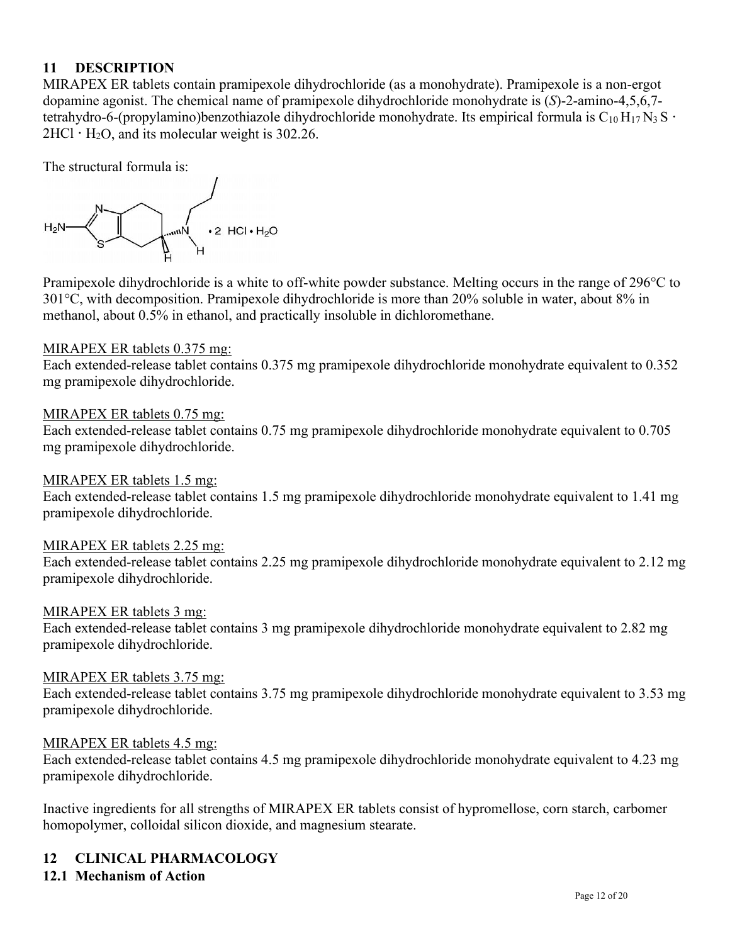# **11 DESCRIPTION**

MIRAPEX ER tablets contain pramipexole dihydrochloride (as a monohydrate). Pramipexole is a non-ergot dopamine agonist. The chemical name of pramipexole dihydrochloride monohydrate is (*S*)-2-amino-4,5,6,7 tetrahydro-6-(propylamino)benzothiazole dihydrochloride monohydrate. Its empirical formula is  $C_{10}H_{17}N_3S$  ·  $2HCl \cdot H_2O$ , and its molecular weight is 302.26.

The structural formula is:



Pramipexole dihydrochloride is a white to off-white powder substance. Melting occurs in the range of 296°C to 301°C, with decomposition. Pramipexole dihydrochloride is more than 20% soluble in water, about 8% in methanol, about 0.5% in ethanol, and practically insoluble in dichloromethane.

### MIRAPEX ER tablets 0.375 mg:

Each extended-release tablet contains 0.375 mg pramipexole dihydrochloride monohydrate equivalent to 0.352 mg pramipexole dihydrochloride.

### MIRAPEX ER tablets 0.75 mg:

Each extended-release tablet contains 0.75 mg pramipexole dihydrochloride monohydrate equivalent to 0.705 mg pramipexole dihydrochloride.

### MIRAPEX ER tablets 1.5 mg:

Each extended-release tablet contains 1.5 mg pramipexole dihydrochloride monohydrate equivalent to 1.41 mg pramipexole dihydrochloride.

### MIRAPEX ER tablets 2.25 mg:

Each extended-release tablet contains 2.25 mg pramipexole dihydrochloride monohydrate equivalent to 2.12 mg pramipexole dihydrochloride.

### MIRAPEX ER tablets 3 mg:

Each extended-release tablet contains 3 mg pramipexole dihydrochloride monohydrate equivalent to 2.82 mg pramipexole dihydrochloride.

### MIRAPEX ER tablets 3.75 mg:

Each extended-release tablet contains 3.75 mg pramipexole dihydrochloride monohydrate equivalent to 3.53 mg pramipexole dihydrochloride.

### MIRAPEX ER tablets 4.5 mg:

Each extended-release tablet contains 4.5 mg pramipexole dihydrochloride monohydrate equivalent to 4.23 mg pramipexole dihydrochloride.

Inactive ingredients for all strengths of MIRAPEX ER tablets consist of hypromellose, corn starch, carbomer homopolymer, colloidal silicon dioxide, and magnesium stearate.

### **12 CLINICAL PHARMACOLOGY**

### **12.1 Mechanism of Action**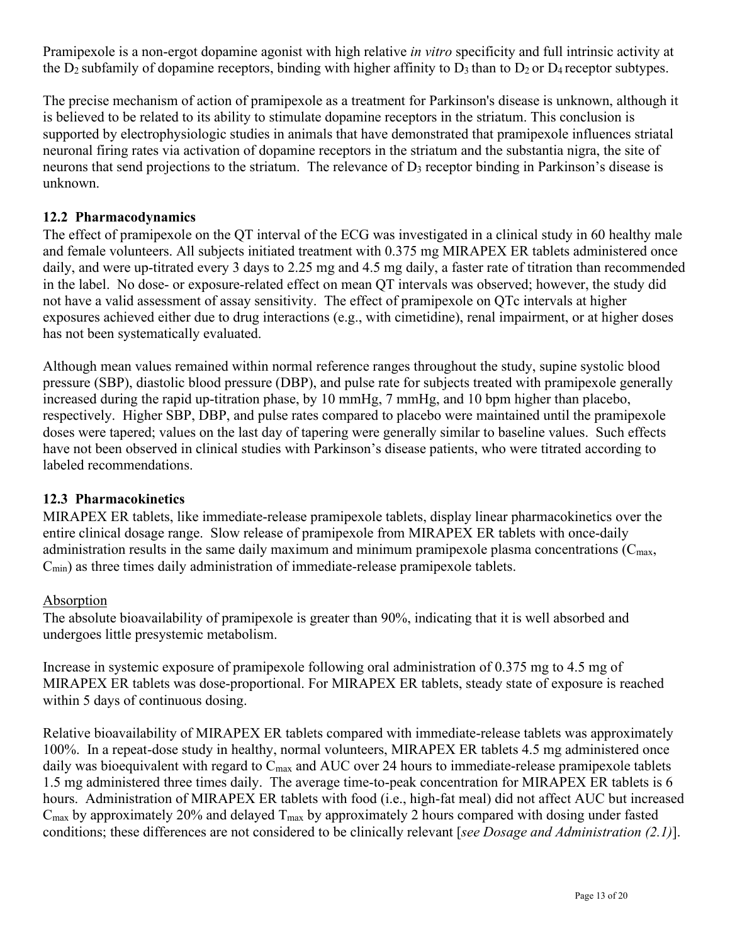Pramipexole is a non-ergot dopamine agonist with high relative *in vitro* specificity and full intrinsic activity at the  $D_2$  subfamily of dopamine receptors, binding with higher affinity to  $D_3$  than to  $D_2$  or  $D_4$  receptor subtypes.

The precise mechanism of action of pramipexole as a treatment for Parkinson's disease is unknown, although it is believed to be related to its ability to stimulate dopamine receptors in the striatum. This conclusion is supported by electrophysiologic studies in animals that have demonstrated that pramipexole influences striatal neuronal firing rates via activation of dopamine receptors in the striatum and the substantia nigra, the site of neurons that send projections to the striatum. The relevance of  $D_3$  receptor binding in Parkinson's disease is unknown.

# **12.2 Pharmacodynamics**

The effect of pramipexole on the QT interval of the ECG was investigated in a clinical study in 60 healthy male and female volunteers. All subjects initiated treatment with 0.375 mg MIRAPEX ER tablets administered once daily, and were up-titrated every 3 days to 2.25 mg and 4.5 mg daily, a faster rate of titration than recommended in the label. No dose- or exposure-related effect on mean QT intervals was observed; however, the study did not have a valid assessment of assay sensitivity. The effect of pramipexole on QTc intervals at higher exposures achieved either due to drug interactions (e.g., with cimetidine), renal impairment, or at higher doses has not been systematically evaluated.

Although mean values remained within normal reference ranges throughout the study, supine systolic blood pressure (SBP), diastolic blood pressure (DBP), and pulse rate for subjects treated with pramipexole generally increased during the rapid up-titration phase, by 10 mmHg, 7 mmHg, and 10 bpm higher than placebo, respectively. Higher SBP, DBP, and pulse rates compared to placebo were maintained until the pramipexole doses were tapered; values on the last day of tapering were generally similar to baseline values. Such effects have not been observed in clinical studies with Parkinson's disease patients, who were titrated according to labeled recommendations.

### **12.3 Pharmacokinetics**

MIRAPEX ER tablets, like immediate-release pramipexole tablets, display linear pharmacokinetics over the entire clinical dosage range. Slow release of pramipexole from MIRAPEX ER tablets with once-daily administration results in the same daily maximum and minimum pramipexole plasma concentrations ( $C_{\text{max}}$ ,  $C_{\text{min}}$ ) as three times daily administration of immediate-release pramipexole tablets.

### Absorption

The absolute bioavailability of pramipexole is greater than 90%, indicating that it is well absorbed and undergoes little presystemic metabolism.

Increase in systemic exposure of pramipexole following oral administration of 0.375 mg to 4.5 mg of MIRAPEX ER tablets was dose-proportional. For MIRAPEX ER tablets, steady state of exposure is reached within 5 days of continuous dosing.

Relative bioavailability of MIRAPEX ER tablets compared with immediate-release tablets was approximately 100%. In a repeat-dose study in healthy, normal volunteers, MIRAPEX ER tablets 4.5 mg administered once daily was bioequivalent with regard to  $C_{\text{max}}$  and AUC over 24 hours to immediate-release pramipexole tablets 1.5 mg administered three times daily. The average time-to-peak concentration for MIRAPEX ER tablets is 6 hours. Administration of MIRAPEX ER tablets with food (i.e., high-fat meal) did not affect AUC but increased  $C_{\text{max}}$  by approximately 20% and delayed  $T_{\text{max}}$  by approximately 2 hours compared with dosing under fasted conditions; these differences are not considered to be clinically relevant [*see Dosage and Administration (2.1)*].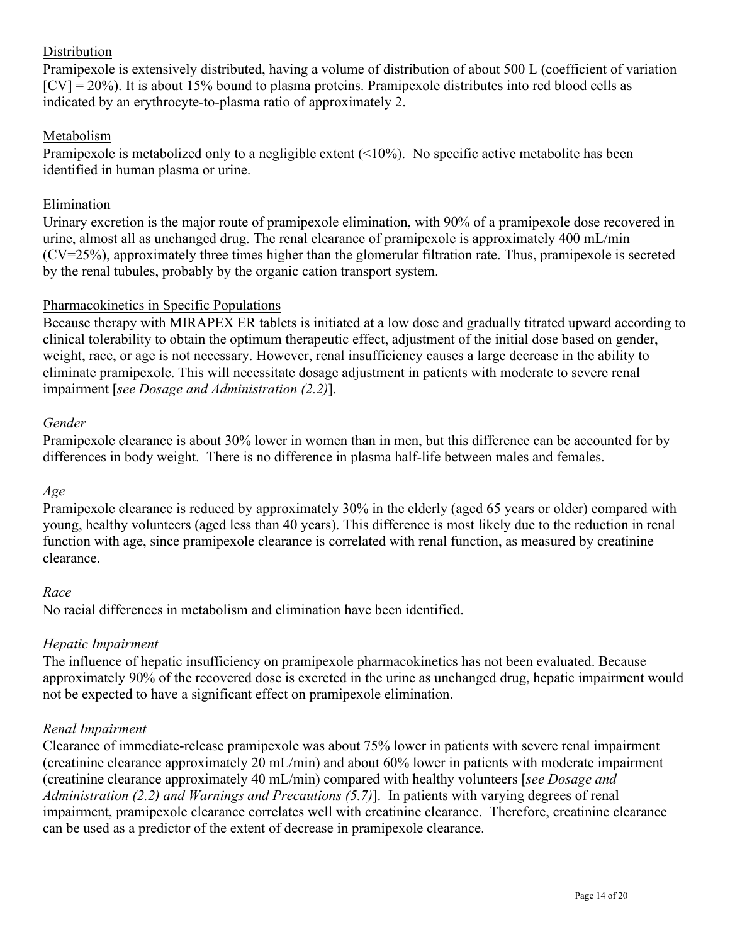# Distribution

Pramipexole is extensively distributed, having a volume of distribution of about 500 L (coefficient of variation  $[CV] = 20\%$ ). It is about 15% bound to plasma proteins. Pramipexole distributes into red blood cells as indicated by an erythrocyte-to-plasma ratio of approximately 2.

## Metabolism

Pramipexole is metabolized only to a negligible extent (<10%). No specific active metabolite has been identified in human plasma or urine.

## Elimination

Urinary excretion is the major route of pramipexole elimination, with 90% of a pramipexole dose recovered in urine, almost all as unchanged drug. The renal clearance of pramipexole is approximately 400 mL/min (CV=25%), approximately three times higher than the glomerular filtration rate. Thus, pramipexole is secreted by the renal tubules, probably by the organic cation transport system.

### Pharmacokinetics in Specific Populations

Because therapy with MIRAPEX ER tablets is initiated at a low dose and gradually titrated upward according to clinical tolerability to obtain the optimum therapeutic effect, adjustment of the initial dose based on gender, weight, race, or age is not necessary. However, renal insufficiency causes a large decrease in the ability to eliminate pramipexole. This will necessitate dosage adjustment in patients with moderate to severe renal impairment [*see Dosage and Administration (2.2)*].

### *Gender*

Pramipexole clearance is about 30% lower in women than in men, but this difference can be accounted for by differences in body weight. There is no difference in plasma half-life between males and females.

### *Age*

Pramipexole clearance is reduced by approximately 30% in the elderly (aged 65 years or older) compared with young, healthy volunteers (aged less than 40 years). This difference is most likely due to the reduction in renal function with age, since pramipexole clearance is correlated with renal function, as measured by creatinine clearance.

### *Race*

No racial differences in metabolism and elimination have been identified.

### *Hepatic Impairment*

The influence of hepatic insufficiency on pramipexole pharmacokinetics has not been evaluated. Because approximately 90% of the recovered dose is excreted in the urine as unchanged drug, hepatic impairment would not be expected to have a significant effect on pramipexole elimination.

### *Renal Impairment*

Clearance of immediate-release pramipexole was about 75% lower in patients with severe renal impairment (creatinine clearance approximately 20 mL/min) and about 60% lower in patients with moderate impairment (creatinine clearance approximately 40 mL/min) compared with healthy volunteers [*see Dosage and Administration (2.2) and Warnings and Precautions (5.7)*]. In patients with varying degrees of renal impairment, pramipexole clearance correlates well with creatinine clearance. Therefore, creatinine clearance can be used as a predictor of the extent of decrease in pramipexole clearance.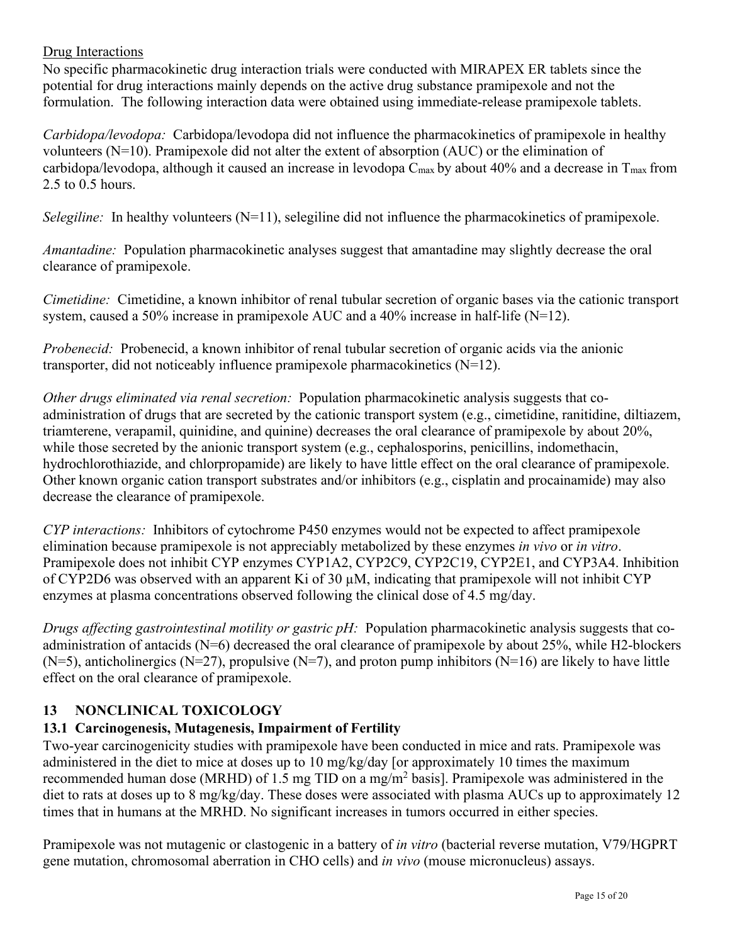# Drug Interactions

No specific pharmacokinetic drug interaction trials were conducted with MIRAPEX ER tablets since the potential for drug interactions mainly depends on the active drug substance pramipexole and not the formulation. The following interaction data were obtained using immediate-release pramipexole tablets.

*Carbidopa/levodopa:* Carbidopa/levodopa did not influence the pharmacokinetics of pramipexole in healthy volunteers (N=10). Pramipexole did not alter the extent of absorption (AUC) or the elimination of carbidopa/levodopa, although it caused an increase in levodopa  $C_{\text{max}}$  by about 40% and a decrease in  $T_{\text{max}}$  from 2.5 to 0.5 hours.

*Selegiline:* In healthy volunteers (N=11), selegiline did not influence the pharmacokinetics of pramipexole.

*Amantadine:* Population pharmacokinetic analyses suggest that amantadine may slightly decrease the oral clearance of pramipexole.

*Cimetidine:* Cimetidine, a known inhibitor of renal tubular secretion of organic bases via the cationic transport system, caused a 50% increase in pramipexole AUC and a 40% increase in half-life  $(N=12)$ .

*Probenecid:* Probenecid, a known inhibitor of renal tubular secretion of organic acids via the anionic transporter, did not noticeably influence pramipexole pharmacokinetics (N=12).

*Other drugs eliminated via renal secretion:* Population pharmacokinetic analysis suggests that coadministration of drugs that are secreted by the cationic transport system (e.g., cimetidine, ranitidine, diltiazem, triamterene, verapamil, quinidine, and quinine) decreases the oral clearance of pramipexole by about 20%, while those secreted by the anionic transport system (e.g., cephalosporins, penicillins, indomethacin, hydrochlorothiazide, and chlorpropamide) are likely to have little effect on the oral clearance of pramipexole. Other known organic cation transport substrates and/or inhibitors (e.g., cisplatin and procainamide) may also decrease the clearance of pramipexole.

*CYP interactions:* Inhibitors of cytochrome P450 enzymes would not be expected to affect pramipexole elimination because pramipexole is not appreciably metabolized by these enzymes *in vivo* or *in vitro*. Pramipexole does not inhibit CYP enzymes CYP1A2, CYP2C9, CYP2C19, CYP2E1, and CYP3A4. Inhibition of CYP2D6 was observed with an apparent Ki of 30 µM, indicating that pramipexole will not inhibit CYP enzymes at plasma concentrations observed following the clinical dose of 4.5 mg/day.

*Drugs affecting gastrointestinal motility or gastric pH:* Population pharmacokinetic analysis suggests that coadministration of antacids (N=6) decreased the oral clearance of pramipexole by about 25%, while H2-blockers  $(N=5)$ , anticholinergics  $(N=27)$ , propulsive  $(N=7)$ , and proton pump inhibitors  $(N=16)$  are likely to have little effect on the oral clearance of pramipexole.

# **13 NONCLINICAL TOXICOLOGY**

# **13.1 Carcinogenesis, Mutagenesis, Impairment of Fertility**

Two-year carcinogenicity studies with pramipexole have been conducted in mice and rats. Pramipexole was administered in the diet to mice at doses up to 10 mg/kg/day [or approximately 10 times the maximum recommended human dose (MRHD) of 1.5 mg TID on a mg/m<sup>2</sup> basis]. Pramipexole was administered in the diet to rats at doses up to 8 mg/kg/day. These doses were associated with plasma AUCs up to approximately 12 times that in humans at the MRHD. No significant increases in tumors occurred in either species.

Pramipexole was not mutagenic or clastogenic in a battery of *in vitro* (bacterial reverse mutation, V79/HGPRT gene mutation, chromosomal aberration in CHO cells) and *in vivo* (mouse micronucleus) assays.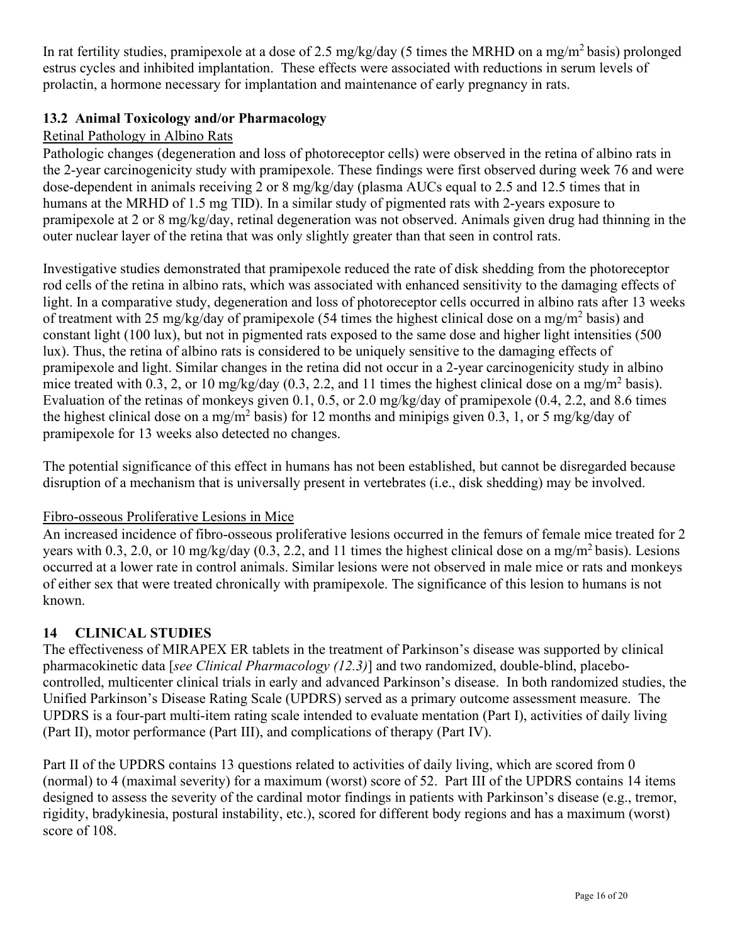In rat fertility studies, pramipexole at a dose of 2.5 mg/kg/day (5 times the MRHD on a mg/m<sup>2</sup> basis) prolonged estrus cycles and inhibited implantation. These effects were associated with reductions in serum levels of prolactin, a hormone necessary for implantation and maintenance of early pregnancy in rats.

# **13.2 Animal Toxicology and/or Pharmacology**

# Retinal Pathology in Albino Rats

Pathologic changes (degeneration and loss of photoreceptor cells) were observed in the retina of albino rats in the 2-year carcinogenicity study with pramipexole. These findings were first observed during week 76 and were dose-dependent in animals receiving 2 or 8 mg/kg/day (plasma AUCs equal to 2.5 and 12.5 times that in humans at the MRHD of 1.5 mg TID). In a similar study of pigmented rats with 2-years exposure to pramipexole at 2 or 8 mg/kg/day, retinal degeneration was not observed. Animals given drug had thinning in the outer nuclear layer of the retina that was only slightly greater than that seen in control rats.

Investigative studies demonstrated that pramipexole reduced the rate of disk shedding from the photoreceptor rod cells of the retina in albino rats, which was associated with enhanced sensitivity to the damaging effects of light. In a comparative study, degeneration and loss of photoreceptor cells occurred in albino rats after 13 weeks of treatment with 25 mg/kg/day of pramipexole (54 times the highest clinical dose on a mg/m<sup>2</sup> basis) and constant light (100 lux), but not in pigmented rats exposed to the same dose and higher light intensities (500 lux). Thus, the retina of albino rats is considered to be uniquely sensitive to the damaging effects of pramipexole and light. Similar changes in the retina did not occur in a 2-year carcinogenicity study in albino mice treated with 0.3, 2, or 10 mg/kg/day (0.3, 2.2, and 11 times the highest clinical dose on a mg/m<sup>2</sup> basis). Evaluation of the retinas of monkeys given 0.1, 0.5, or 2.0 mg/kg/day of pramipexole (0.4, 2.2, and 8.6 times the highest clinical dose on a mg/m<sup>2</sup> basis) for 12 months and minipigs given 0.3, 1, or 5 mg/kg/day of pramipexole for 13 weeks also detected no changes.

The potential significance of this effect in humans has not been established, but cannot be disregarded because disruption of a mechanism that is universally present in vertebrates (i.e., disk shedding) may be involved.

# Fibro-osseous Proliferative Lesions in Mice

An increased incidence of fibro-osseous proliferative lesions occurred in the femurs of female mice treated for 2 years with 0.3, 2.0, or 10 mg/kg/day (0.3, 2.2, and 11 times the highest clinical dose on a mg/m<sup>2</sup> basis). Lesions occurred at a lower rate in control animals. Similar lesions were not observed in male mice or rats and monkeys of either sex that were treated chronically with pramipexole. The significance of this lesion to humans is not known.

# **14 CLINICAL STUDIES**

The effectiveness of MIRAPEX ER tablets in the treatment of Parkinson's disease was supported by clinical pharmacokinetic data [*see Clinical Pharmacology (12.3)*] and two randomized, double-blind, placebocontrolled, multicenter clinical trials in early and advanced Parkinson's disease. In both randomized studies, the Unified Parkinson's Disease Rating Scale (UPDRS) served as a primary outcome assessment measure. The UPDRS is a four-part multi-item rating scale intended to evaluate mentation (Part I), activities of daily living (Part II), motor performance (Part III), and complications of therapy (Part IV).

Part II of the UPDRS contains 13 questions related to activities of daily living, which are scored from 0 (normal) to 4 (maximal severity) for a maximum (worst) score of 52. Part III of the UPDRS contains 14 items designed to assess the severity of the cardinal motor findings in patients with Parkinson's disease (e.g., tremor, rigidity, bradykinesia, postural instability, etc.), scored for different body regions and has a maximum (worst) score of 108.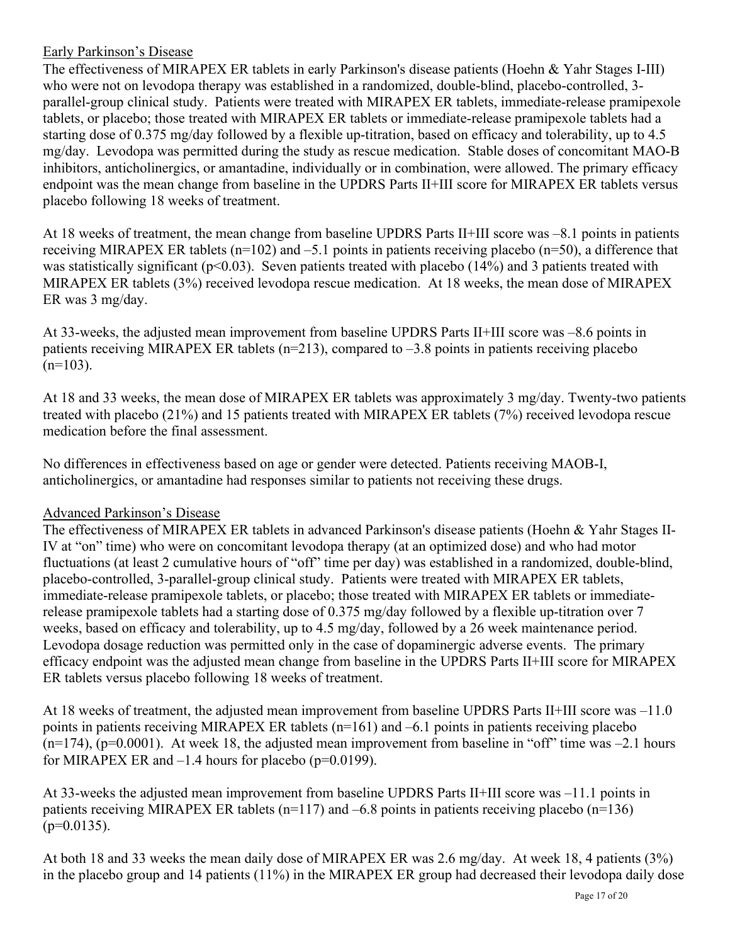# Early Parkinson's Disease

The effectiveness of MIRAPEX ER tablets in early Parkinson's disease patients (Hoehn & Yahr Stages I-III) who were not on levodopa therapy was established in a randomized, double-blind, placebo-controlled, 3 parallel-group clinical study. Patients were treated with MIRAPEX ER tablets, immediate-release pramipexole tablets, or placebo; those treated with MIRAPEX ER tablets or immediate-release pramipexole tablets had a starting dose of 0.375 mg/day followed by a flexible up-titration, based on efficacy and tolerability, up to 4.5 mg/day. Levodopa was permitted during the study as rescue medication. Stable doses of concomitant MAO-B inhibitors, anticholinergics, or amantadine, individually or in combination, were allowed. The primary efficacy endpoint was the mean change from baseline in the UPDRS Parts II+III score for MIRAPEX ER tablets versus placebo following 18 weeks of treatment.

At 18 weeks of treatment, the mean change from baseline UPDRS Parts II+III score was –8.1 points in patients receiving MIRAPEX ER tablets (n=102) and –5.1 points in patients receiving placebo (n=50), a difference that was statistically significant ( $p<0.03$ ). Seven patients treated with placebo (14%) and 3 patients treated with MIRAPEX ER tablets (3%) received levodopa rescue medication. At 18 weeks, the mean dose of MIRAPEX ER was 3 mg/day.

At 33-weeks, the adjusted mean improvement from baseline UPDRS Parts II+III score was –8.6 points in patients receiving MIRAPEX ER tablets ( $n=213$ ), compared to  $-3.8$  points in patients receiving placebo  $(n=103)$ .

At 18 and 33 weeks, the mean dose of MIRAPEX ER tablets was approximately 3 mg/day. Twenty-two patients treated with placebo (21%) and 15 patients treated with MIRAPEX ER tablets (7%) received levodopa rescue medication before the final assessment.

No differences in effectiveness based on age or gender were detected. Patients receiving MAOB-I, anticholinergics, or amantadine had responses similar to patients not receiving these drugs.

# Advanced Parkinson's Disease

The effectiveness of MIRAPEX ER tablets in advanced Parkinson's disease patients (Hoehn & Yahr Stages II-IV at "on" time) who were on concomitant levodopa therapy (at an optimized dose) and who had motor fluctuations (at least 2 cumulative hours of "off" time per day) was established in a randomized, double-blind, placebo-controlled, 3-parallel-group clinical study. Patients were treated with MIRAPEX ER tablets, immediate-release pramipexole tablets, or placebo; those treated with MIRAPEX ER tablets or immediaterelease pramipexole tablets had a starting dose of 0.375 mg/day followed by a flexible up-titration over 7 weeks, based on efficacy and tolerability, up to 4.5 mg/day, followed by a 26 week maintenance period. Levodopa dosage reduction was permitted only in the case of dopaminergic adverse events. The primary efficacy endpoint was the adjusted mean change from baseline in the UPDRS Parts II+III score for MIRAPEX ER tablets versus placebo following 18 weeks of treatment.

At 18 weeks of treatment, the adjusted mean improvement from baseline UPDRS Parts II+III score was –11.0 points in patients receiving MIRAPEX ER tablets (n=161) and –6.1 points in patients receiving placebo  $(n=174)$ ,  $(p=0.0001)$ . At week 18, the adjusted mean improvement from baseline in "off" time was  $-2.1$  hours for MIRAPEX ER and  $-1.4$  hours for placebo (p=0.0199).

At 33-weeks the adjusted mean improvement from baseline UPDRS Parts II+III score was –11.1 points in patients receiving MIRAPEX ER tablets ( $n=117$ ) and  $-6.8$  points in patients receiving placebo ( $n=136$ )  $(p=0.0135)$ .

At both 18 and 33 weeks the mean daily dose of MIRAPEX ER was 2.6 mg/day. At week 18, 4 patients (3%) in the placebo group and 14 patients (11%) in the MIRAPEX ER group had decreased their levodopa daily dose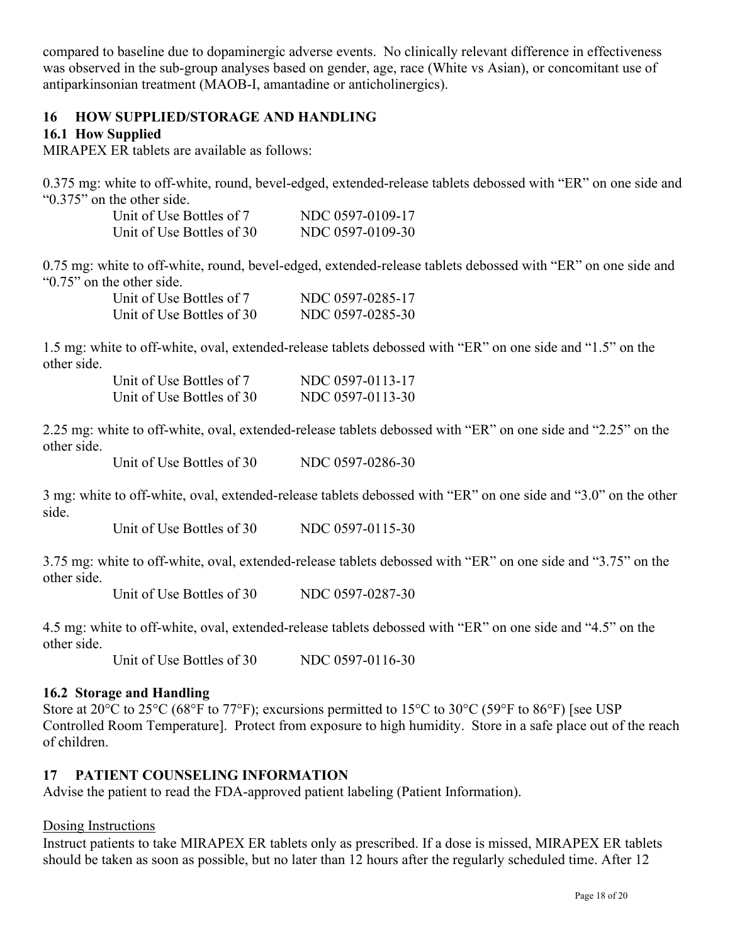compared to baseline due to dopaminergic adverse events. No clinically relevant difference in effectiveness was observed in the sub-group analyses based on gender, age, race (White vs Asian), or concomitant use of antiparkinsonian treatment (MAOB-I, amantadine or anticholinergics).

# **16 HOW SUPPLIED/STORAGE AND HANDLING**

## **16.1 How Supplied**

MIRAPEX ER tablets are available as follows:

0.375 mg: white to off-white, round, bevel-edged, extended-release tablets debossed with "ER" on one side and "0.375" on the other side.

| Unit of Use Bottles of 7  | NDC 0597-0109-17 |
|---------------------------|------------------|
| Unit of Use Bottles of 30 | NDC 0597-0109-30 |

0.75 mg: white to off-white, round, bevel-edged, extended-release tablets debossed with "ER" on one side and "0.75" on the other side.

| Unit of Use Bottles of 7  | NDC 0597-0285-17 |
|---------------------------|------------------|
| Unit of Use Bottles of 30 | NDC 0597-0285-30 |

1.5 mg: white to off-white, oval, extended-release tablets debossed with "ER" on one side and "1.5" on the other side.

| Unit of Use Bottles of 7  | NDC 0597-0113-17 |
|---------------------------|------------------|
| Unit of Use Bottles of 30 | NDC 0597-0113-30 |

2.25 mg: white to off-white, oval, extended-release tablets debossed with "ER" on one side and "2.25" on the other side.

Unit of Use Bottles of 30 NDC 0597-0286-30

3 mg: white to off-white, oval, extended-release tablets debossed with "ER" on one side and "3.0" on the other side.

Unit of Use Bottles of 30 NDC 0597-0115-30

3.75 mg: white to off-white, oval, extended-release tablets debossed with "ER" on one side and "3.75" on the other side.

Unit of Use Bottles of 30 NDC 0597-0287-30

4.5 mg: white to off-white, oval, extended-release tablets debossed with "ER" on one side and "4.5" on the other side.

Unit of Use Bottles of 30 NDC 0597-0116-30

### **16.2 Storage and Handling**

Store at 20°C to 25°C (68°F to 77°F); excursions permitted to 15°C to 30°C (59°F to 86°F) [see USP Controlled Room Temperature]. Protect from exposure to high humidity. Store in a safe place out of the reach of children.

### **17 PATIENT COUNSELING INFORMATION**

Advise the patient to read the FDA-approved patient labeling (Patient Information).

### Dosing Instructions

Instruct patients to take MIRAPEX ER tablets only as prescribed. If a dose is missed, MIRAPEX ER tablets should be taken as soon as possible, but no later than 12 hours after the regularly scheduled time. After 12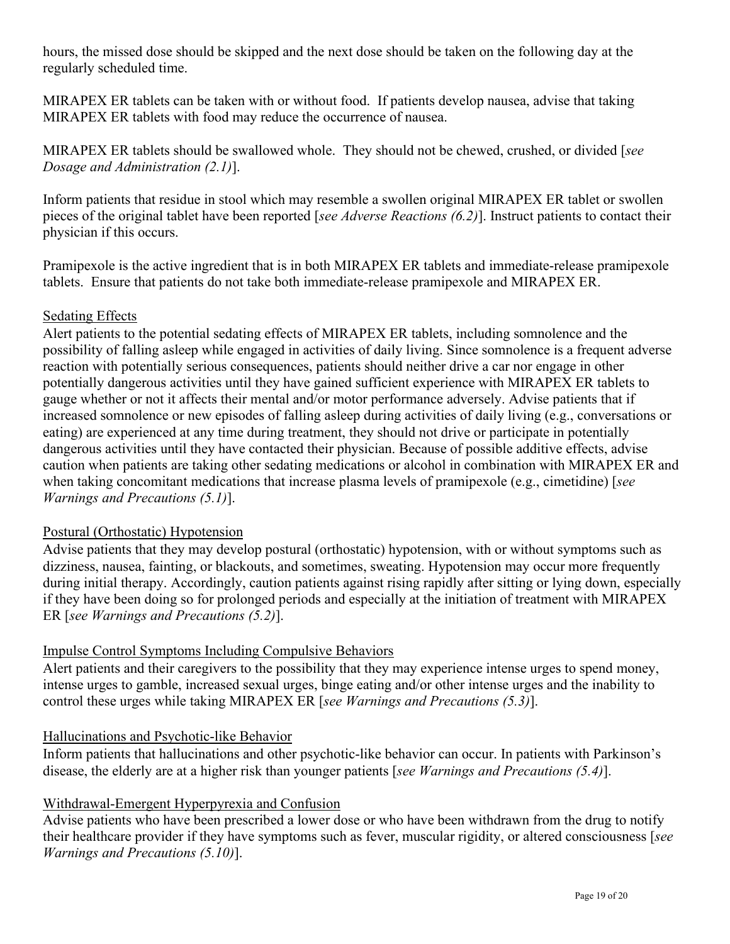hours, the missed dose should be skipped and the next dose should be taken on the following day at the regularly scheduled time.

MIRAPEX ER tablets can be taken with or without food. If patients develop nausea, advise that taking MIRAPEX ER tablets with food may reduce the occurrence of nausea.

MIRAPEX ER tablets should be swallowed whole. They should not be chewed, crushed, or divided [*see Dosage and Administration (2.1)*].

Inform patients that residue in stool which may resemble a swollen original MIRAPEX ER tablet or swollen pieces of the original tablet have been reported [*see Adverse Reactions (6.2)*]. Instruct patients to contact their physician if this occurs.

Pramipexole is the active ingredient that is in both MIRAPEX ER tablets and immediate-release pramipexole tablets. Ensure that patients do not take both immediate-release pramipexole and MIRAPEX ER.

## Sedating Effects

Alert patients to the potential sedating effects of MIRAPEX ER tablets, including somnolence and the possibility of falling asleep while engaged in activities of daily living. Since somnolence is a frequent adverse reaction with potentially serious consequences, patients should neither drive a car nor engage in other potentially dangerous activities until they have gained sufficient experience with MIRAPEX ER tablets to gauge whether or not it affects their mental and/or motor performance adversely. Advise patients that if increased somnolence or new episodes of falling asleep during activities of daily living (e.g., conversations or eating) are experienced at any time during treatment, they should not drive or participate in potentially dangerous activities until they have contacted their physician. Because of possible additive effects, advise caution when patients are taking other sedating medications or alcohol in combination with MIRAPEX ER and when taking concomitant medications that increase plasma levels of pramipexole (e.g., cimetidine) [*see Warnings and Precautions (5.1)*].

### Postural (Orthostatic) Hypotension

Advise patients that they may develop postural (orthostatic) hypotension, with or without symptoms such as dizziness, nausea, fainting, or blackouts, and sometimes, sweating. Hypotension may occur more frequently during initial therapy. Accordingly, caution patients against rising rapidly after sitting or lying down, especially if they have been doing so for prolonged periods and especially at the initiation of treatment with MIRAPEX ER [*see Warnings and Precautions (5.2)*].

# Impulse Control Symptoms Including Compulsive Behaviors

Alert patients and their caregivers to the possibility that they may experience intense urges to spend money, intense urges to gamble, increased sexual urges, binge eating and/or other intense urges and the inability to control these urges while taking MIRAPEX ER [*see Warnings and Precautions (5.3)*].

### Hallucinations and Psychotic-like Behavior

Inform patients that hallucinations and other psychotic-like behavior can occur. In patients with Parkinson's disease, the elderly are at a higher risk than younger patients [*see Warnings and Precautions (5.4)*].

# Withdrawal-Emergent Hyperpyrexia and Confusion

Advise patients who have been prescribed a lower dose or who have been withdrawn from the drug to notify their healthcare provider if they have symptoms such as fever, muscular rigidity, or altered consciousness [*see Warnings and Precautions (5.10)*].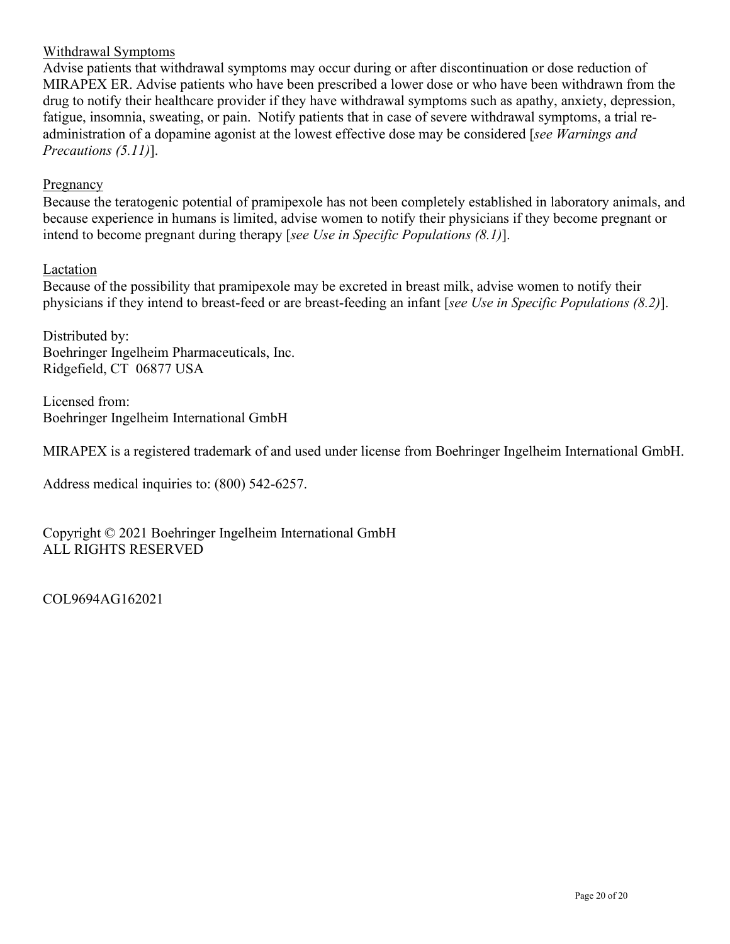### Withdrawal Symptoms

Advise patients that withdrawal symptoms may occur during or after discontinuation or dose reduction of MIRAPEX ER. Advise patients who have been prescribed a lower dose or who have been withdrawn from the drug to notify their healthcare provider if they have withdrawal symptoms such as apathy, anxiety, depression, fatigue, insomnia, sweating, or pain. Notify patients that in case of severe withdrawal symptoms, a trial readministration of a dopamine agonist at the lowest effective dose may be considered [*see Warnings and Precautions (5.11)*].

## Pregnancy

Because the teratogenic potential of pramipexole has not been completely established in laboratory animals, and because experience in humans is limited, advise women to notify their physicians if they become pregnant or intend to become pregnant during therapy [*see Use in Specific Populations (8.1)*].

## Lactation

Because of the possibility that pramipexole may be excreted in breast milk, advise women to notify their physicians if they intend to breast-feed or are breast-feeding an infant [*see Use in Specific Populations (8.2)*].

Distributed by: Boehringer Ingelheim Pharmaceuticals, Inc. Ridgefield, CT 06877 USA

Licensed from: Boehringer Ingelheim International GmbH

MIRAPEX is a registered trademark of and used under license from Boehringer Ingelheim International GmbH.

Address medical inquiries to: (800) 542-6257.

Copyright © 2021 Boehringer Ingelheim International GmbH ALL RIGHTS RESERVED

COL9694AG162021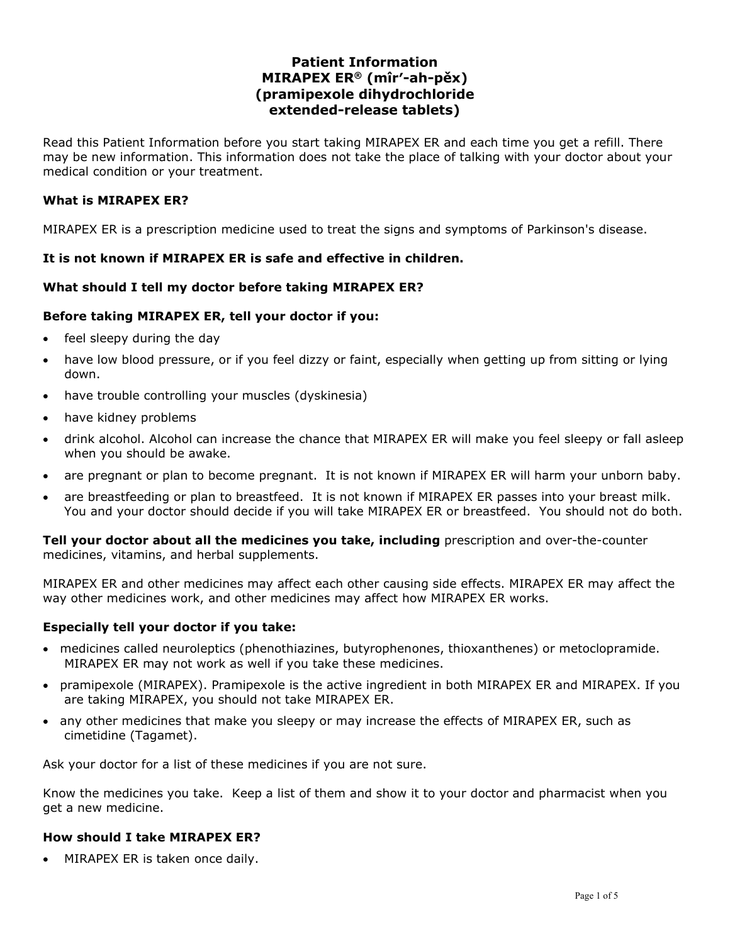## **Patient Information MIRAPEX ER® (mîr′-ah-pěx) (pramipexole dihydrochloride extended-release tablets)**

Read this Patient Information before you start taking MIRAPEX ER and each time you get a refill. There may be new information. This information does not take the place of talking with your doctor about your medical condition or your treatment.

### **What is MIRAPEX ER?**

MIRAPEX ER is a prescription medicine used to treat the signs and symptoms of Parkinson's disease.

### **It is not known if MIRAPEX ER is safe and effective in children.**

### **What should I tell my doctor before taking MIRAPEX ER?**

### **Before taking MIRAPEX ER, tell your doctor if you:**

- feel sleepy during the day
- have low blood pressure, or if you feel dizzy or faint, especially when getting up from sitting or lying down.
- have trouble controlling your muscles (dyskinesia)
- have kidney problems
- drink alcohol. Alcohol can increase the chance that MIRAPEX ER will make you feel sleepy or fall asleep when you should be awake.
- are pregnant or plan to become pregnant. It is not known if MIRAPEX ER will harm your unborn baby.
- are breastfeeding or plan to breastfeed. It is not known if MIRAPEX ER passes into your breast milk. You and your doctor should decide if you will take MIRAPEX ER or breastfeed. You should not do both.

**Tell your doctor about all the medicines you take, including** prescription and over-the-counter medicines, vitamins, and herbal supplements.

MIRAPEX ER and other medicines may affect each other causing side effects. MIRAPEX ER may affect the way other medicines work, and other medicines may affect how MIRAPEX ER works.

#### **Especially tell your doctor if you take:**

- medicines called neuroleptics (phenothiazines, butyrophenones, thioxanthenes) or metoclopramide. MIRAPEX ER may not work as well if you take these medicines.
- pramipexole (MIRAPEX). Pramipexole is the active ingredient in both MIRAPEX ER and MIRAPEX. If you are taking MIRAPEX, you should not take MIRAPEX ER.
- any other medicines that make you sleepy or may increase the effects of MIRAPEX ER, such as cimetidine (Tagamet).

Ask your doctor for a list of these medicines if you are not sure.

Know the medicines you take. Keep a list of them and show it to your doctor and pharmacist when you get a new medicine.

#### **How should I take MIRAPEX ER?**

• MIRAPEX ER is taken once daily.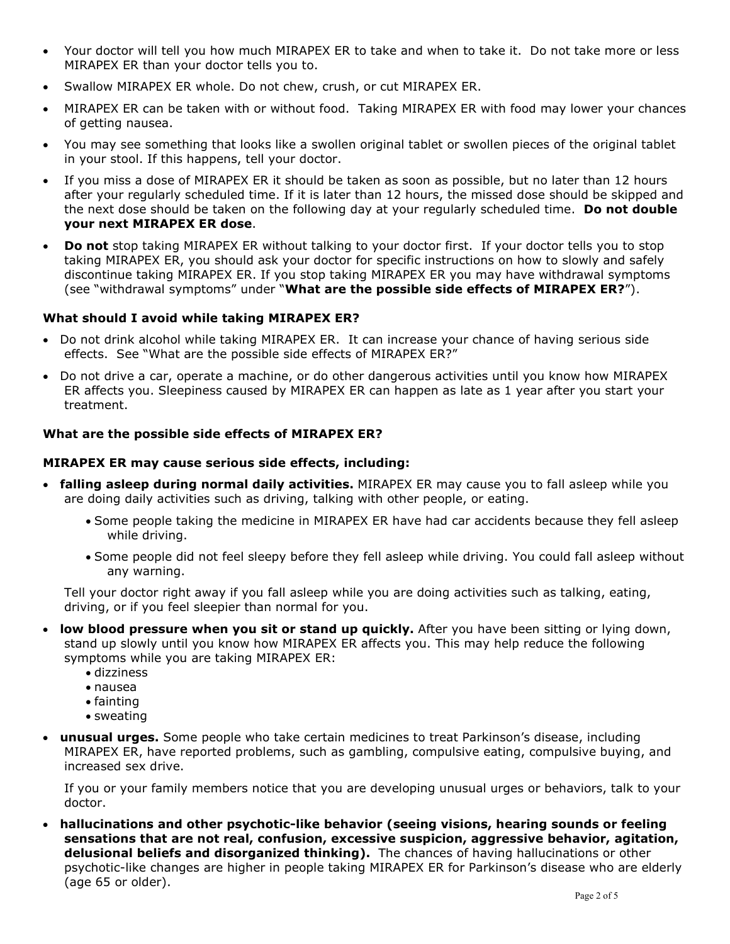- Your doctor will tell you how much MIRAPEX ER to take and when to take it. Do not take more or less MIRAPEX ER than your doctor tells you to.
- Swallow MIRAPEX ER whole. Do not chew, crush, or cut MIRAPEX ER.
- MIRAPEX ER can be taken with or without food. Taking MIRAPEX ER with food may lower your chances of getting nausea.
- You may see something that looks like a swollen original tablet or swollen pieces of the original tablet in your stool. If this happens, tell your doctor.
- If you miss a dose of MIRAPEX ER it should be taken as soon as possible, but no later than 12 hours after your regularly scheduled time. If it is later than 12 hours, the missed dose should be skipped and the next dose should be taken on the following day at your regularly scheduled time. **Do not double your next MIRAPEX ER dose**.
- **Do not** stop taking MIRAPEX ER without talking to your doctor first. If your doctor tells you to stop taking MIRAPEX ER, you should ask your doctor for specific instructions on how to slowly and safely discontinue taking MIRAPEX ER. If you stop taking MIRAPEX ER you may have withdrawal symptoms (see "withdrawal symptoms" under "**What are the possible side effects of MIRAPEX ER?**").

### **What should I avoid while taking MIRAPEX ER?**

- Do not drink alcohol while taking MIRAPEX ER. It can increase your chance of having serious side effects. See "What are the possible side effects of MIRAPEX ER?"
- Do not drive a car, operate a machine, or do other dangerous activities until you know how MIRAPEX ER affects you. Sleepiness caused by MIRAPEX ER can happen as late as 1 year after you start your treatment.

### **What are the possible side effects of MIRAPEX ER?**

### **MIRAPEX ER may cause serious side effects, including:**

- **falling asleep during normal daily activities.** MIRAPEX ER may cause you to fall asleep while you are doing daily activities such as driving, talking with other people, or eating.
	- Some people taking the medicine in MIRAPEX ER have had car accidents because they fell asleep while driving.
	- Some people did not feel sleepy before they fell asleep while driving. You could fall asleep without any warning.

Tell your doctor right away if you fall asleep while you are doing activities such as talking, eating, driving, or if you feel sleepier than normal for you.

- **low blood pressure when you sit or stand up quickly.** After you have been sitting or lying down, stand up slowly until you know how MIRAPEX ER affects you. This may help reduce the following symptoms while you are taking MIRAPEX ER:
	- dizziness
	- nausea
	- fainting
	- sweating
- **unusual urges.** Some people who take certain medicines to treat Parkinson's disease, including MIRAPEX ER, have reported problems, such as gambling, compulsive eating, compulsive buying, and increased sex drive.

If you or your family members notice that you are developing unusual urges or behaviors, talk to your doctor.

• **hallucinations and other psychotic-like behavior (seeing visions, hearing sounds or feeling sensations that are not real, confusion, excessive suspicion, aggressive behavior, agitation, delusional beliefs and disorganized thinking).** The chances of having hallucinations or other psychotic-like changes are higher in people taking MIRAPEX ER for Parkinson's disease who are elderly (age 65 or older).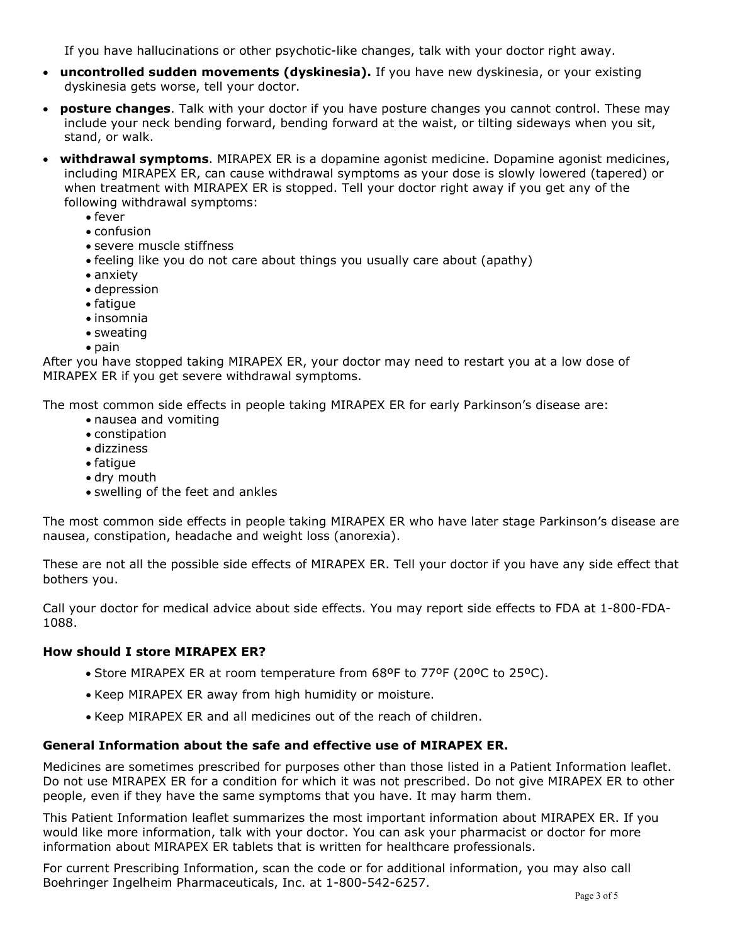If you have hallucinations or other psychotic-like changes, talk with your doctor right away.

- **uncontrolled sudden movements (dyskinesia).** If you have new dyskinesia, or your existing dyskinesia gets worse, tell your doctor.
- **posture changes**. Talk with your doctor if you have posture changes you cannot control. These may include your neck bending forward, bending forward at the waist, or tilting sideways when you sit, stand, or walk.
- **withdrawal symptoms**. MIRAPEX ER is a dopamine agonist medicine. Dopamine agonist medicines, including MIRAPEX ER, can cause withdrawal symptoms as your dose is slowly lowered (tapered) or when treatment with MIRAPEX ER is stopped. Tell your doctor right away if you get any of the following withdrawal symptoms:
	- fever
	- confusion
	- severe muscle stiffness
	- feeling like you do not care about things you usually care about (apathy)
	- anxiety
	- depression
	- fatigue
	- insomnia
	- sweating
	- pain

After you have stopped taking MIRAPEX ER, your doctor may need to restart you at a low dose of MIRAPEX ER if you get severe withdrawal symptoms.

The most common side effects in people taking MIRAPEX ER for early Parkinson's disease are:

- nausea and vomiting
- constipation
- dizziness
- fatigue
- dry mouth
- swelling of the feet and ankles

The most common side effects in people taking MIRAPEX ER who have later stage Parkinson's disease are nausea, constipation, headache and weight loss (anorexia).

These are not all the possible side effects of MIRAPEX ER. Tell your doctor if you have any side effect that bothers you.

Call your doctor for medical advice about side effects. You may report side effects to FDA at 1-800-FDA-1088.

#### **How should I store MIRAPEX ER?**

- Store MIRAPEX ER at room temperature from 68ºF to 77ºF (20ºC to 25ºC).
- Keep MIRAPEX ER away from high humidity or moisture.
- Keep MIRAPEX ER and all medicines out of the reach of children.

### **General Information about the safe and effective use of MIRAPEX ER.**

Medicines are sometimes prescribed for purposes other than those listed in a Patient Information leaflet. Do not use MIRAPEX ER for a condition for which it was not prescribed. Do not give MIRAPEX ER to other people, even if they have the same symptoms that you have. It may harm them.

This Patient Information leaflet summarizes the most important information about MIRAPEX ER. If you would like more information, talk with your doctor. You can ask your pharmacist or doctor for more information about MIRAPEX ER tablets that is written for healthcare professionals.

For current Prescribing Information, scan the code or for additional information, you may also call Boehringer Ingelheim Pharmaceuticals, Inc. at 1-800-542-6257.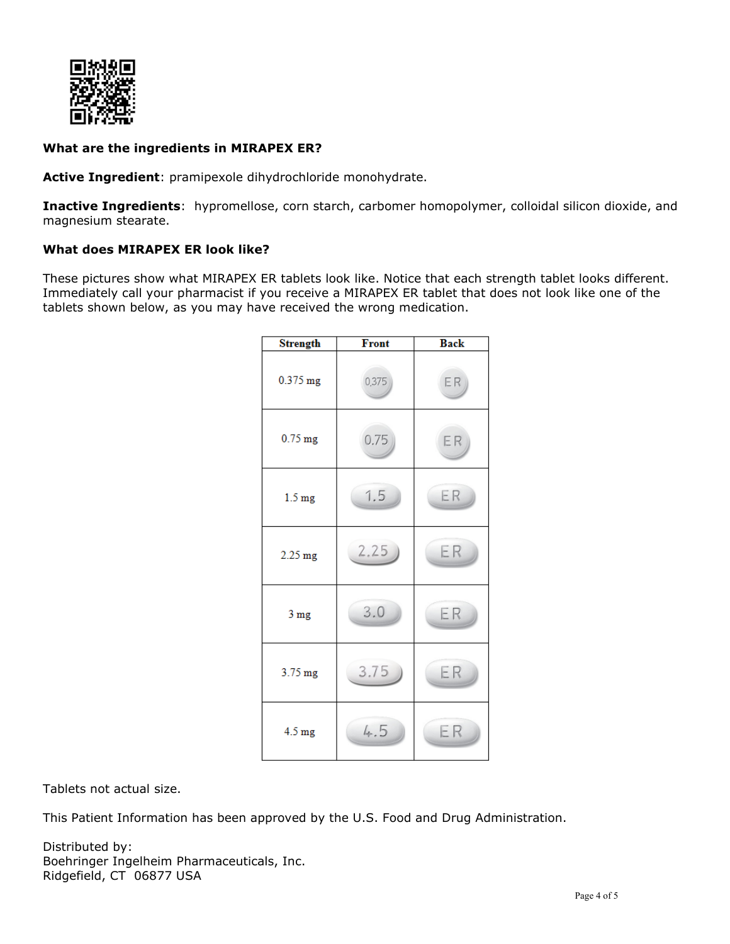

### **What are the ingredients in MIRAPEX ER?**

**Active Ingredient**: pramipexole dihydrochloride monohydrate.

**Inactive Ingredients**: hypromellose, corn starch, carbomer homopolymer, colloidal silicon dioxide, and magnesium stearate.

### **What does MIRAPEX ER look like?**

These pictures show what MIRAPEX ER tablets look like. Notice that each strength tablet looks different. Immediately call your pharmacist if you receive a MIRAPEX ER tablet that does not look like one of the tablets shown below, as you may have received the wrong medication.

| <b>Strength</b>   | Front | <b>Back</b> |
|-------------------|-------|-------------|
| 0.375 mg          | 0,375 | ER          |
| $0.75$ mg         | 0.75  | ER          |
| 1.5 <sub>mg</sub> | 1.5   | ER          |
| $2.25$ mg         | 2.25  | ER          |
| 3 mg              | 3.0   | ER          |
| 3.75 mg           | 3.75  | ER          |
| 4.5 mg            | 4.5   | ER          |

Tablets not actual size.

This Patient Information has been approved by the U.S. Food and Drug Administration.

Distributed by: Boehringer Ingelheim Pharmaceuticals, Inc. Ridgefield, CT 06877 USA